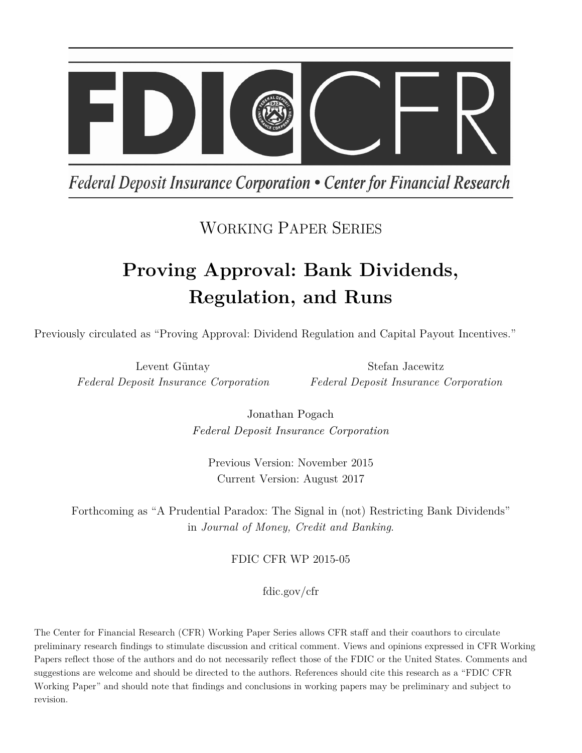

Federal Deposit Insurance Corporation • Center for Financial Research

# WORKING PAPER SERIES

# **Proving Approval: Bank Dividends, Regulation, and Runs**

Previously circulated as "Proving Approval: Dividend Regulation and Capital Payout Incentives."

Levent Güntay *Federal Deposit Insurance Corporation*

Stefan Jacewitz *Federal Deposit Insurance Corporation*

Jonathan Pogach *Federal Deposit Insurance Corporation*

Previous Version: November 2015 Current Version: August 2017

Forthcoming as "A Prudential Paradox: The Signal in (not) Restricting Bank Dividends" in *Journal of Money, Credit and Banking*.

FDIC CFR WP 2015-05

fdic.gov/cfr

The Center for Financial Research (CFR) Working Paper Series allows CFR staff and their coauthors to circulate preliminary research findings to stimulate discussion and critical comment. Views and opinions expressed in CFR Working Papers reflect those of the authors and do not necessarily reflect those of the FDIC or the United States. Comments and suggestions are welcome and should be directed to the authors. References should cite this research as a "FDIC CFR Working Paper" and should note that findings and conclusions in working papers may be preliminary and subject to revision.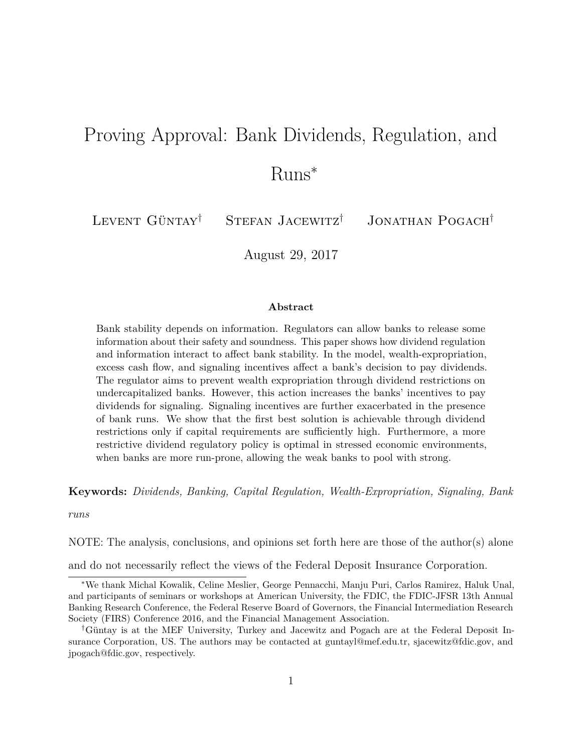# Proving Approval: Bank Dividends, Regulation, and

Runs<sup>∗</sup>

LEVENT GÜNTAY<sup>†</sup>  $S$ tefan Jacewitz<sup>†</sup> Jonathan Pogach<sup>†</sup>

August 29, 2017

#### **Abstract**

Bank stability depends on information. Regulators can allow banks to release some information about their safety and soundness. This paper shows how dividend regulation and information interact to affect bank stability. In the model, wealth-expropriation, excess cash flow, and signaling incentives affect a bank's decision to pay dividends. The regulator aims to prevent wealth expropriation through dividend restrictions on undercapitalized banks. However, this action increases the banks' incentives to pay dividends for signaling. Signaling incentives are further exacerbated in the presence of bank runs. We show that the first best solution is achievable through dividend restrictions only if capital requirements are sufficiently high. Furthermore, a more restrictive dividend regulatory policy is optimal in stressed economic environments, when banks are more run-prone, allowing the weak banks to pool with strong.

**Keywords:** *Dividends, Banking, Capital Regulation, Wealth-Expropriation, Signaling, Bank*

*runs*

NOTE: The analysis, conclusions, and opinions set forth here are those of the author(s) alone

and do not necessarily reflect the views of the Federal Deposit Insurance Corporation.

<sup>∗</sup>We thank Michal Kowalik, Celine Meslier, George Pennacchi, Manju Puri, Carlos Ramirez, Haluk Unal, and participants of seminars or workshops at American University, the FDIC, the FDIC-JFSR 13th Annual Banking Research Conference, the Federal Reserve Board of Governors, the Financial Intermediation Research Society (FIRS) Conference 2016, and the Financial Management Association.

<sup>&</sup>lt;sup>†</sup>Güntay is at the MEF University, Turkey and Jacewitz and Pogach are at the Federal Deposit Insurance Corporation, US. The authors may be contacted at guntayl@mef.edu.tr, sjacewitz@fdic.gov, and jpogach@fdic.gov, respectively.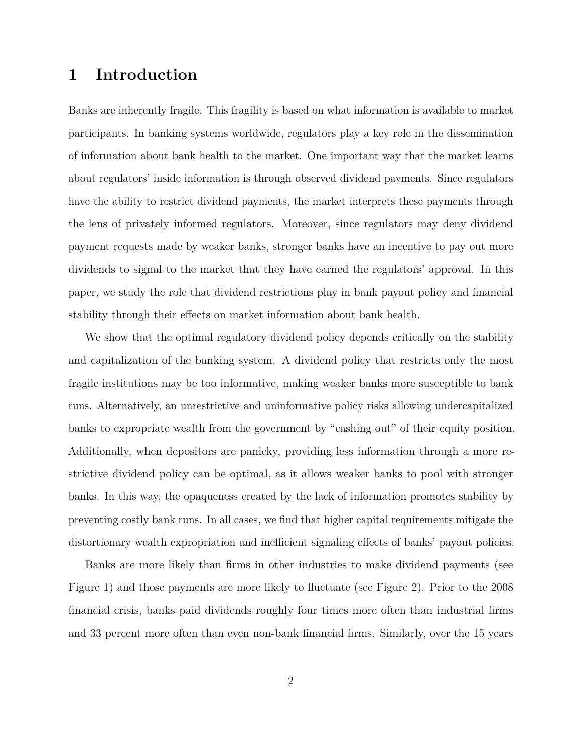# **1 Introduction**

Banks are inherently fragile. This fragility is based on what information is available to market participants. In banking systems worldwide, regulators play a key role in the dissemination of information about bank health to the market. One important way that the market learns about regulators' inside information is through observed dividend payments. Since regulators have the ability to restrict dividend payments, the market interprets these payments through the lens of privately informed regulators. Moreover, since regulators may deny dividend payment requests made by weaker banks, stronger banks have an incentive to pay out more dividends to signal to the market that they have earned the regulators' approval. In this paper, we study the role that dividend restrictions play in bank payout policy and financial stability through their effects on market information about bank health.

We show that the optimal regulatory dividend policy depends critically on the stability and capitalization of the banking system. A dividend policy that restricts only the most fragile institutions may be too informative, making weaker banks more susceptible to bank runs. Alternatively, an unrestrictive and uninformative policy risks allowing undercapitalized banks to expropriate wealth from the government by "cashing out" of their equity position. Additionally, when depositors are panicky, providing less information through a more restrictive dividend policy can be optimal, as it allows weaker banks to pool with stronger banks. In this way, the opaqueness created by the lack of information promotes stability by preventing costly bank runs. In all cases, we find that higher capital requirements mitigate the distortionary wealth expropriation and inefficient signaling effects of banks' payout policies.

Banks are more likely than firms in other industries to make dividend payments (see Figure [1\)](#page-3-0) and those payments are more likely to fluctuate (see Figure [2\)](#page-4-0). Prior to the 2008 financial crisis, banks paid dividends roughly four times more often than industrial firms and 33 percent more often than even non-bank financial firms. Similarly, over the 15 years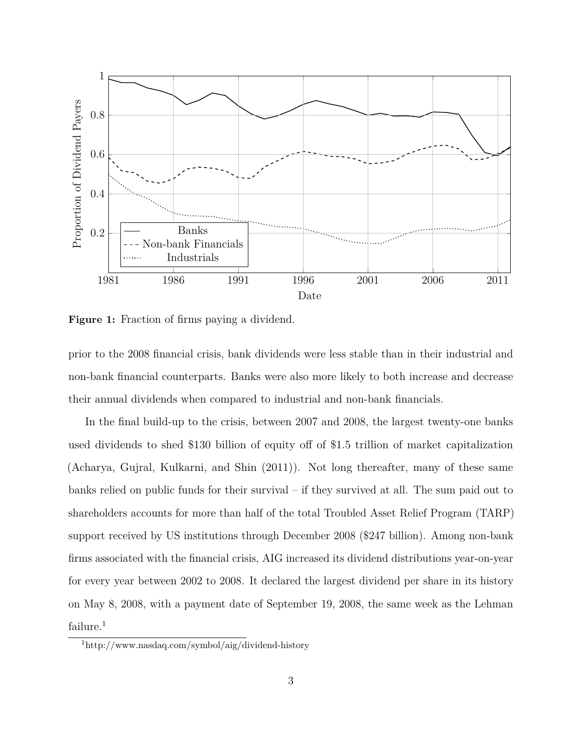<span id="page-3-0"></span>

**Figure 1:** Fraction of firms paying a dividend.

prior to the 2008 financial crisis, bank dividends were less stable than in their industrial and non-bank financial counterparts. Banks were also more likely to both increase and decrease their annual dividends when compared to industrial and non-bank financials.

In the final build-up to the crisis, between 2007 and 2008, the largest twenty-one banks used dividends to shed \$130 billion of equity off of \$1.5 trillion of market capitalization [\(Acharya, Gujral, Kulkarni, and Shin](#page-43-0) [\(2011\)](#page-43-0)). Not long thereafter, many of these same banks relied on public funds for their survival – if they survived at all. The sum paid out to shareholders accounts for more than half of the total Troubled Asset Relief Program (TARP) support received by US institutions through December 2008 (\$247 billion). Among non-bank firms associated with the financial crisis, AIG increased its dividend distributions year-on-year for every year between 2002 to 2008. It declared the largest dividend per share in its history on May 8, 2008, with a payment date of September 19, 2008, the same week as the Lehman failure.<sup>[1](#page-3-1)</sup>

<span id="page-3-1"></span><sup>1</sup>http://www.nasdaq.com/symbol/aig/dividend-history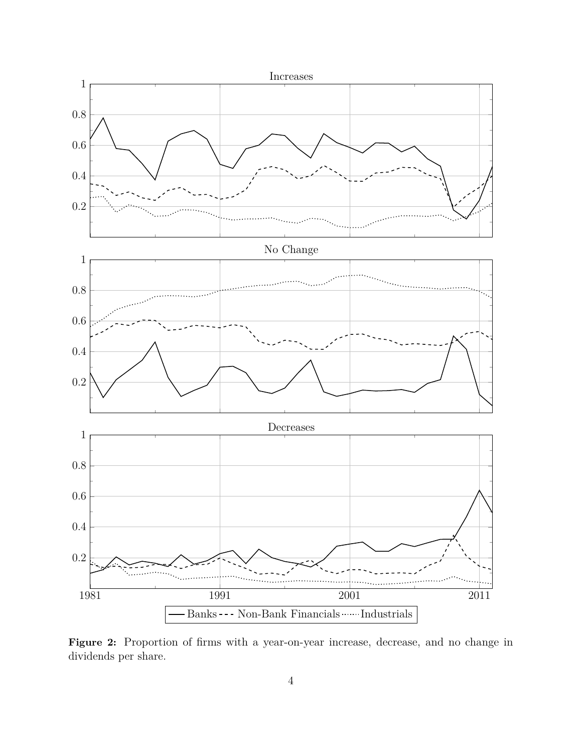<span id="page-4-0"></span>

<span id="page-4-1"></span>**Figure 2:** Proportion of firms with a year-on-year increase, decrease, and no change in dividends per share.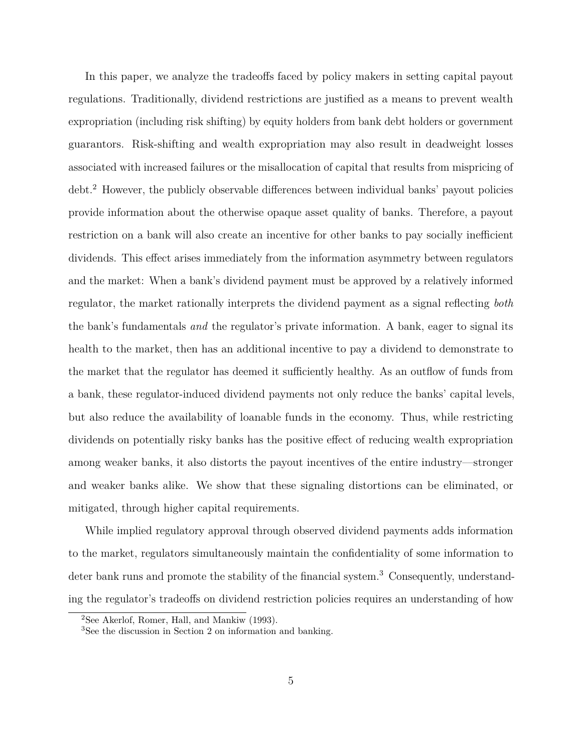In this paper, we analyze the tradeoffs faced by policy makers in setting capital payout regulations. Traditionally, dividend restrictions are justified as a means to prevent wealth expropriation (including risk shifting) by equity holders from bank debt holders or government guarantors. Risk-shifting and wealth expropriation may also result in deadweight losses associated with increased failures or the misallocation of capital that results from mispricing of debt.[2](#page-5-0) However, the publicly observable differences between individual banks' payout policies provide information about the otherwise opaque asset quality of banks. Therefore, a payout restriction on a bank will also create an incentive for other banks to pay socially inefficient dividends. This effect arises immediately from the information asymmetry between regulators and the market: When a bank's dividend payment must be approved by a relatively informed regulator, the market rationally interprets the dividend payment as a signal reflecting *both* the bank's fundamentals *and* the regulator's private information. A bank, eager to signal its health to the market, then has an additional incentive to pay a dividend to demonstrate to the market that the regulator has deemed it sufficiently healthy. As an outflow of funds from a bank, these regulator-induced dividend payments not only reduce the banks' capital levels, but also reduce the availability of loanable funds in the economy. Thus, while restricting dividends on potentially risky banks has the positive effect of reducing wealth expropriation among weaker banks, it also distorts the payout incentives of the entire industry––stronger and weaker banks alike. We show that these signaling distortions can be eliminated, or mitigated, through higher capital requirements.

While implied regulatory approval through observed dividend payments adds information to the market, regulators simultaneously maintain the confidentiality of some information to deter bank runs and promote the stability of the financial system.<sup>[3](#page-5-1)</sup> Consequently, understanding the regulator's tradeoffs on dividend restriction policies requires an understanding of how

<span id="page-5-0"></span><sup>2</sup>See [Akerlof, Romer, Hall, and Mankiw](#page-43-1) [\(1993\)](#page-43-1).

<span id="page-5-1"></span><sup>3</sup>See the discussion in Section [2](#page-7-0) on information and banking.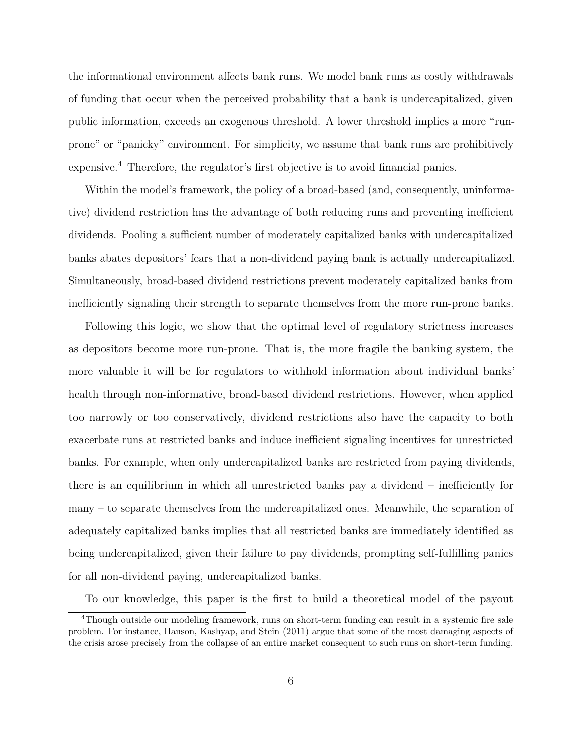the informational environment affects bank runs. We model bank runs as costly withdrawals of funding that occur when the perceived probability that a bank is undercapitalized, given public information, exceeds an exogenous threshold. A lower threshold implies a more "runprone" or "panicky" environment. For simplicity, we assume that bank runs are prohibitively expensive.<sup>[4](#page-6-0)</sup> Therefore, the regulator's first objective is to avoid financial panics.

Within the model's framework, the policy of a broad-based (and, consequently, uninformative) dividend restriction has the advantage of both reducing runs and preventing inefficient dividends. Pooling a sufficient number of moderately capitalized banks with undercapitalized banks abates depositors' fears that a non-dividend paying bank is actually undercapitalized. Simultaneously, broad-based dividend restrictions prevent moderately capitalized banks from inefficiently signaling their strength to separate themselves from the more run-prone banks.

Following this logic, we show that the optimal level of regulatory strictness increases as depositors become more run-prone. That is, the more fragile the banking system, the more valuable it will be for regulators to withhold information about individual banks' health through non-informative, broad-based dividend restrictions. However, when applied too narrowly or too conservatively, dividend restrictions also have the capacity to both exacerbate runs at restricted banks and induce inefficient signaling incentives for unrestricted banks. For example, when only undercapitalized banks are restricted from paying dividends, there is an equilibrium in which all unrestricted banks pay a dividend – inefficiently for many – to separate themselves from the undercapitalized ones. Meanwhile, the separation of adequately capitalized banks implies that all restricted banks are immediately identified as being undercapitalized, given their failure to pay dividends, prompting self-fulfilling panics for all non-dividend paying, undercapitalized banks.

<span id="page-6-0"></span>To our knowledge, this paper is the first to build a theoretical model of the payout

<sup>&</sup>lt;sup>4</sup>Though outside our modeling framework, runs on short-term funding can result in a systemic fire sale problem. For instance, [Hanson, Kashyap, and Stein](#page-44-0) [\(2011\)](#page-44-0) argue that some of the most damaging aspects of the crisis arose precisely from the collapse of an entire market consequent to such runs on short-term funding.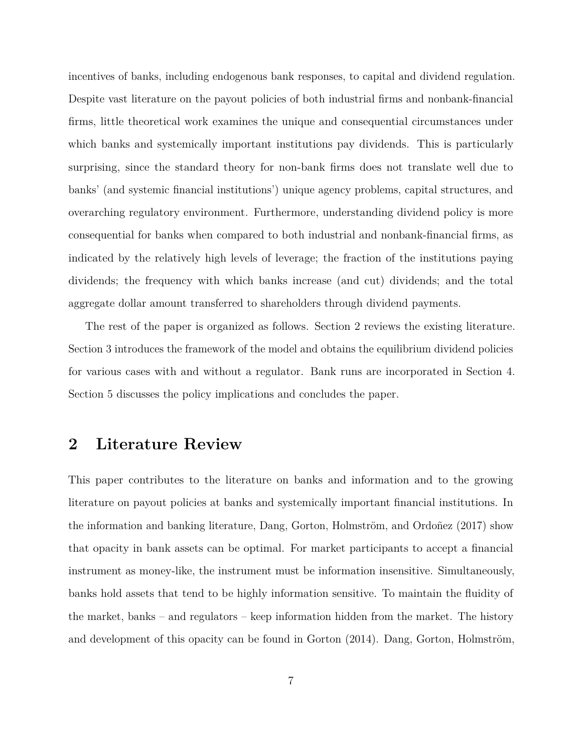incentives of banks, including endogenous bank responses, to capital and dividend regulation. Despite vast literature on the payout policies of both industrial firms and nonbank-financial firms, little theoretical work examines the unique and consequential circumstances under which banks and systemically important institutions pay dividends. This is particularly surprising, since the standard theory for non-bank firms does not translate well due to banks' (and systemic financial institutions') unique agency problems, capital structures, and overarching regulatory environment. Furthermore, understanding dividend policy is more consequential for banks when compared to both industrial and nonbank-financial firms, as indicated by the relatively high levels of leverage; the fraction of the institutions paying dividends; the frequency with which banks increase (and cut) dividends; and the total aggregate dollar amount transferred to shareholders through dividend payments.

The rest of the paper is organized as follows. Section [2](#page-7-0) reviews the existing literature. Section [3](#page-10-0) introduces the framework of the model and obtains the equilibrium dividend policies for various cases with and without a regulator. Bank runs are incorporated in Section [4.](#page-29-0) Section [5](#page-37-0) discusses the policy implications and concludes the paper.

# <span id="page-7-0"></span>**2 Literature Review**

This paper contributes to the literature on banks and information and to the growing literature on payout policies at banks and systemically important financial institutions. In the information and banking literature, Dang, Gorton, Holmström, and Ordoñez [\(2017\)](#page-43-2) show that opacity in bank assets can be optimal. For market participants to accept a financial instrument as money-like, the instrument must be information insensitive. Simultaneously, banks hold assets that tend to be highly information sensitive. To maintain the fluidity of the market, banks – and regulators – keep information hidden from the market. The history and development of this opacity can be found in [Gorton](#page-44-1)  $(2014)$ . Dang, Gorton, Holmström,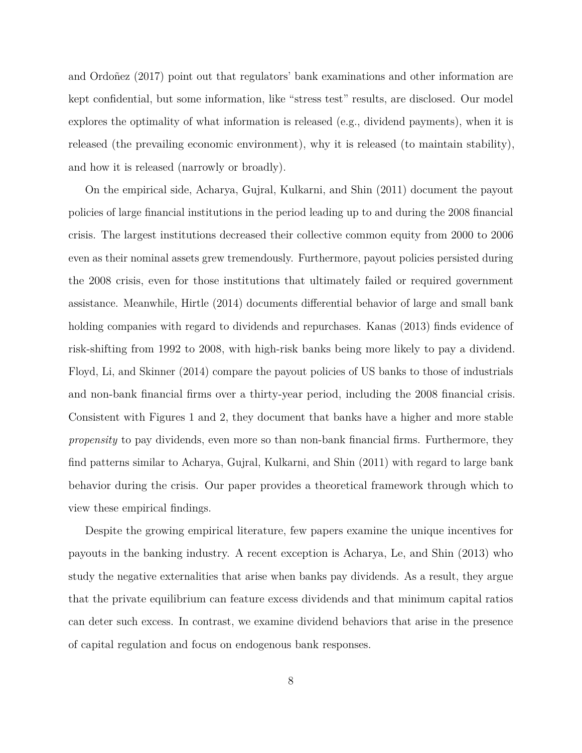and Ordoñez [\(2017\)](#page-43-2) point out that regulators' bank examinations and other information are kept confidential, but some information, like "stress test" results, are disclosed. Our model explores the optimality of what information is released (e.g., dividend payments), when it is released (the prevailing economic environment), why it is released (to maintain stability), and how it is released (narrowly or broadly).

On the empirical side, [Acharya, Gujral, Kulkarni, and Shin](#page-43-0) [\(2011\)](#page-43-0) document the payout policies of large financial institutions in the period leading up to and during the 2008 financial crisis. The largest institutions decreased their collective common equity from 2000 to 2006 even as their nominal assets grew tremendously. Furthermore, payout policies persisted during the 2008 crisis, even for those institutions that ultimately failed or required government assistance. Meanwhile, [Hirtle](#page-44-2) [\(2014\)](#page-44-2) documents differential behavior of large and small bank holding companies with regard to dividends and repurchases. [Kanas](#page-45-0) [\(2013\)](#page-45-0) finds evidence of risk-shifting from 1992 to 2008, with high-risk banks being more likely to pay a dividend. [Floyd, Li, and Skinner](#page-44-3) [\(2014\)](#page-44-3) compare the payout policies of US banks to those of industrials and non-bank financial firms over a thirty-year period, including the 2008 financial crisis. Consistent with Figures 1 and 2, they document that banks have a higher and more stable *propensity* to pay dividends, even more so than non-bank financial firms. Furthermore, they find patterns similar to [Acharya, Gujral, Kulkarni, and Shin](#page-43-0) [\(2011\)](#page-43-0) with regard to large bank behavior during the crisis. Our paper provides a theoretical framework through which to view these empirical findings.

Despite the growing empirical literature, few papers examine the unique incentives for payouts in the banking industry. A recent exception is [Acharya, Le, and Shin](#page-43-3) [\(2013\)](#page-43-3) who study the negative externalities that arise when banks pay dividends. As a result, they argue that the private equilibrium can feature excess dividends and that minimum capital ratios can deter such excess. In contrast, we examine dividend behaviors that arise in the presence of capital regulation and focus on endogenous bank responses.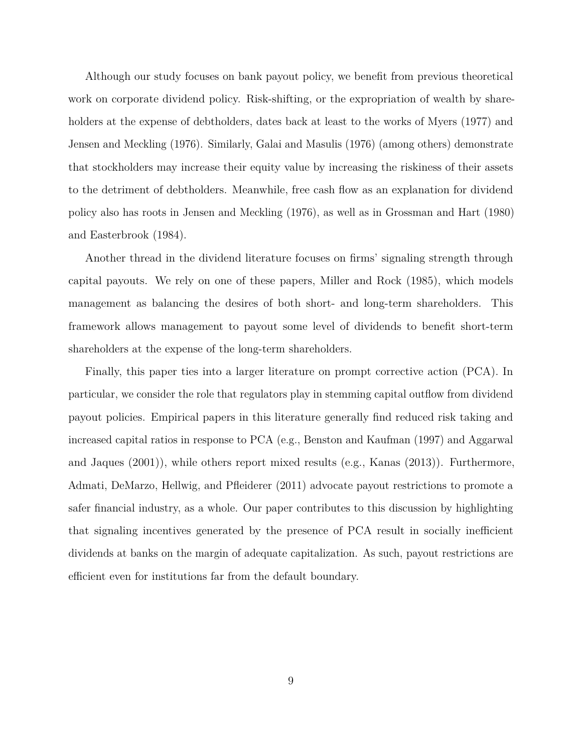Although our study focuses on bank payout policy, we benefit from previous theoretical work on corporate dividend policy. Risk-shifting, or the expropriation of wealth by share-holders at the expense of debtholders, dates back at least to the works of [Myers](#page-45-1) [\(1977\)](#page-45-1) and [Jensen and Meckling](#page-45-2) [\(1976\)](#page-45-2). Similarly, [Galai and Masulis](#page-44-4) [\(1976\)](#page-44-4) (among others) demonstrate that stockholders may increase their equity value by increasing the riskiness of their assets to the detriment of debtholders. Meanwhile, free cash flow as an explanation for dividend policy also has roots in [Jensen and Meckling](#page-45-2) [\(1976\)](#page-45-2), as well as in [Grossman and Hart](#page-44-5) [\(1980\)](#page-44-5) and [Easterbrook](#page-44-6) [\(1984\)](#page-44-6).

Another thread in the dividend literature focuses on firms' signaling strength through capital payouts. We rely on one of these papers, [Miller and Rock](#page-45-3) [\(1985\)](#page-45-3), which models management as balancing the desires of both short- and long-term shareholders. This framework allows management to payout some level of dividends to benefit short-term shareholders at the expense of the long-term shareholders.

Finally, this paper ties into a larger literature on prompt corrective action (PCA). In particular, we consider the role that regulators play in stemming capital outflow from dividend payout policies. Empirical papers in this literature generally find reduced risk taking and increased capital ratios in response to PCA (e.g., [Benston and Kaufman](#page-43-4) [\(1997\)](#page-43-4) and [Aggarwal](#page-43-5) [and Jaques](#page-43-5) [\(2001\)](#page-43-5)), while others report mixed results (e.g., [Kanas](#page-45-0) [\(2013\)](#page-45-0)). Furthermore, [Admati, DeMarzo, Hellwig, and Pfleiderer](#page-43-6) [\(2011\)](#page-43-6) advocate payout restrictions to promote a safer financial industry, as a whole. Our paper contributes to this discussion by highlighting that signaling incentives generated by the presence of PCA result in socially inefficient dividends at banks on the margin of adequate capitalization. As such, payout restrictions are efficient even for institutions far from the default boundary.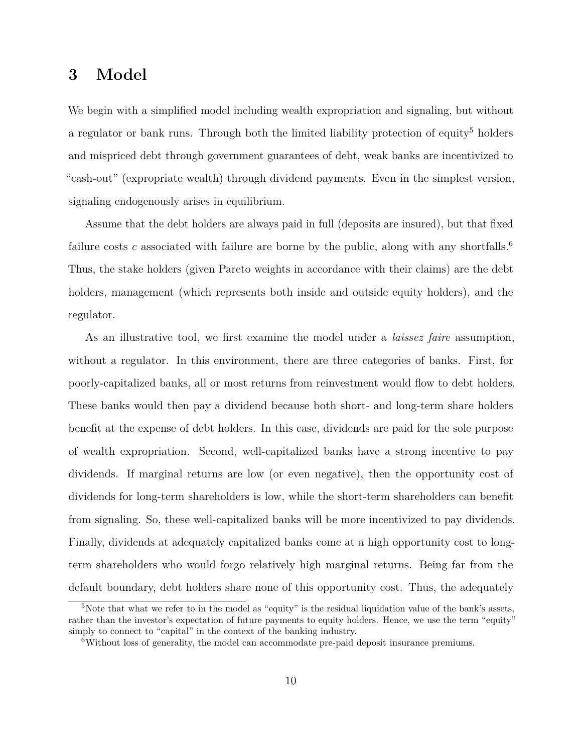# <span id="page-10-0"></span>**3 Model**

We begin with a simplified model including wealth expropriation and signaling, but without a regulator or bank runs. Through both the limited liability protection of equity<sup>[5](#page-10-1)</sup> holders and mispriced debt through government guarantees of debt, weak banks are incentivized to "cash-out" (expropriate wealth) through dividend payments. Even in the simplest version, signaling endogenously arises in equilibrium.

Assume that the debt holders are always paid in full (deposits are insured), but that fixed failure costs *c* associated with failure are borne by the public, along with any shortfalls.<sup>[6](#page-10-2)</sup> Thus, the stake holders (given Pareto weights in accordance with their claims) are the debt holders, management (which represents both inside and outside equity holders), and the regulator.

As an illustrative tool, we first examine the model under a *laissez faire* assumption, without a regulator. In this environment, there are three categories of banks. First, for poorly-capitalized banks, all or most returns from reinvestment would flow to debt holders. These banks would then pay a dividend because both short- and long-term share holders benefit at the expense of debt holders. In this case, dividends are paid for the sole purpose of wealth expropriation. Second, well-capitalized banks have a strong incentive to pay dividends. If marginal returns are low (or even negative), then the opportunity cost of dividends for long-term shareholders is low, while the short-term shareholders can benefit from signaling. So, these well-capitalized banks will be more incentivized to pay dividends. Finally, dividends at adequately capitalized banks come at a high opportunity cost to longterm shareholders who would forgo relatively high marginal returns. Being far from the default boundary, debt holders share none of this opportunity cost. Thus, the adequately

<span id="page-10-1"></span><sup>&</sup>lt;sup>5</sup>Note that what we refer to in the model as "equity" is the residual liquidation value of the bank's assets, rather than the investor's expectation of future payments to equity holders. Hence, we use the term "equity" simply to connect to "capital" in the context of the banking industry.

<span id="page-10-2"></span><sup>6</sup>Without loss of generality, the model can accommodate pre-paid deposit insurance premiums.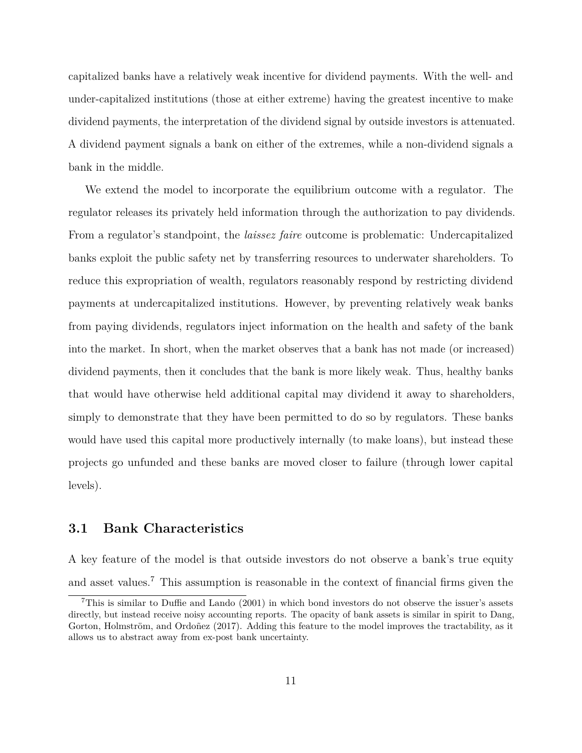capitalized banks have a relatively weak incentive for dividend payments. With the well- and under-capitalized institutions (those at either extreme) having the greatest incentive to make dividend payments, the interpretation of the dividend signal by outside investors is attenuated. A dividend payment signals a bank on either of the extremes, while a non-dividend signals a bank in the middle.

We extend the model to incorporate the equilibrium outcome with a regulator. The regulator releases its privately held information through the authorization to pay dividends. From a regulator's standpoint, the *laissez faire* outcome is problematic: Undercapitalized banks exploit the public safety net by transferring resources to underwater shareholders. To reduce this expropriation of wealth, regulators reasonably respond by restricting dividend payments at undercapitalized institutions. However, by preventing relatively weak banks from paying dividends, regulators inject information on the health and safety of the bank into the market. In short, when the market observes that a bank has not made (or increased) dividend payments, then it concludes that the bank is more likely weak. Thus, healthy banks that would have otherwise held additional capital may dividend it away to shareholders, simply to demonstrate that they have been permitted to do so by regulators. These banks would have used this capital more productively internally (to make loans), but instead these projects go unfunded and these banks are moved closer to failure (through lower capital levels).

# **3.1 Bank Characteristics**

A key feature of the model is that outside investors do not observe a bank's true equity and asset values.[7](#page-11-0) This assumption is reasonable in the context of financial firms given the

<span id="page-11-0"></span><sup>7</sup>This is similar to [Duffie and Lando](#page-44-7) [\(2001\)](#page-44-7) in which bond investors do not observe the issuer's assets directly, but instead receive noisy accounting reports. The opacity of bank assets is similar in spirit to [Dang,](#page-43-2) Gorton, Holmström, and Ordoñez [\(2017\)](#page-43-2). Adding this feature to the model improves the tractability, as it allows us to abstract away from ex-post bank uncertainty.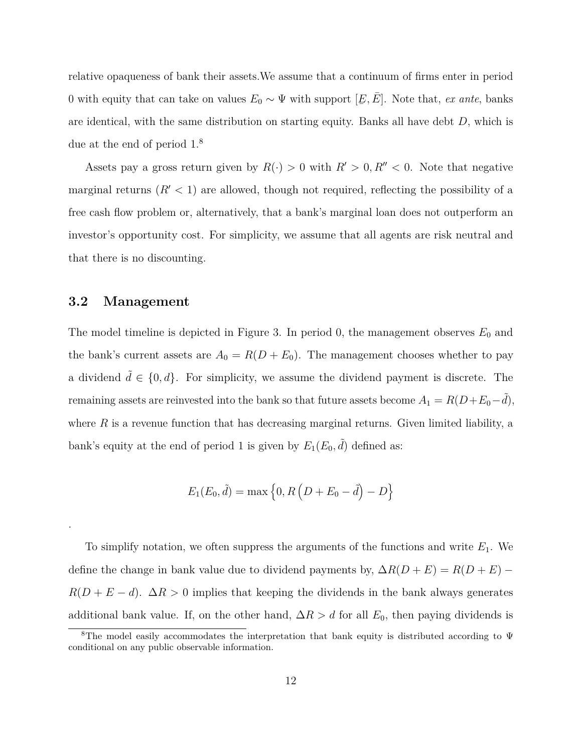relative opaqueness of bank their assets.We assume that a continuum of firms enter in period 0 with equity that can take on values  $E_0 \sim \Psi$  with support [ $\underline{E}$  $E, \overline{E}$ . Note that, *ex ante*, banks are identical, with the same distribution on starting equity. Banks all have debt *D*, which is due at the end of period 1.[8](#page-12-0)

Assets pay a gross return given by  $R(\cdot) > 0$  with  $R' > 0, R'' < 0$ . Note that negative marginal returns  $(R' < 1)$  are allowed, though not required, reflecting the possibility of a free cash flow problem or, alternatively, that a bank's marginal loan does not outperform an investor's opportunity cost. For simplicity, we assume that all agents are risk neutral and that there is no discounting.

### **3.2 Management**

.

The model timeline is depicted in Figure 3. In period 0, the management observes  $E_0$  and the bank's current assets are  $A_0 = R(D + E_0)$ . The management chooses whether to pay a dividend  $d \in \{0, d\}$ . For simplicity, we assume the dividend payment is discrete. The remaining assets are reinvested into the bank so that future assets become  $A_1 = R(D + E_0 - d)$ , where  $R$  is a revenue function that has decreasing marginal returns. Given limited liability, a bank's equity at the end of period 1 is given by  $E_1(E_0, \tilde{d})$  defined as:

$$
E_1(E_0, \tilde{d}) = \max \left\{ 0, R\left(D + E_0 - \tilde{d}\right) - D \right\}
$$

To simplify notation, we often suppress the arguments of the functions and write *E*1. We define the change in bank value due to dividend payments by,  $\Delta R(D + E) = R(D + E)$  −  $R(D + E - d)$ .  $\Delta R > 0$  implies that keeping the dividends in the bank always generates additional bank value. If, on the other hand,  $\Delta R > d$  for all  $E_0$ , then paying dividends is

<span id="page-12-0"></span><sup>&</sup>lt;sup>8</sup>The model easily accommodates the interpretation that bank equity is distributed according to  $\Psi$ conditional on any public observable information.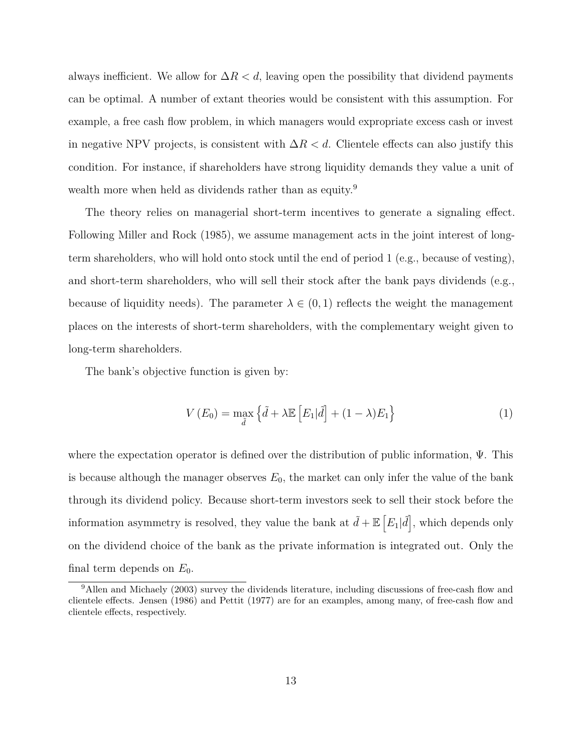always inefficient. We allow for  $\Delta R < d$ , leaving open the possibility that dividend payments can be optimal. A number of extant theories would be consistent with this assumption. For example, a free cash flow problem, in which managers would expropriate excess cash or invest in negative NPV projects, is consistent with ∆*R < d*. Clientele effects can also justify this condition. For instance, if shareholders have strong liquidity demands they value a unit of wealth more when held as dividends rather than as equity.<sup>[9](#page-13-0)</sup>

The theory relies on managerial short-term incentives to generate a signaling effect. Following [Miller and Rock](#page-45-3) [\(1985\)](#page-45-3), we assume management acts in the joint interest of longterm shareholders, who will hold onto stock until the end of period 1 (e.g., because of vesting), and short-term shareholders, who will sell their stock after the bank pays dividends (e.g., because of liquidity needs). The parameter  $\lambda \in (0,1)$  reflects the weight the management places on the interests of short-term shareholders, with the complementary weight given to long-term shareholders.

The bank's objective function is given by:

$$
V(E_0) = \max_{\tilde{d}} \left\{ \tilde{d} + \lambda \mathbb{E} \left[ E_1 | \tilde{d} \right] + (1 - \lambda) E_1 \right\} \tag{1}
$$

where the expectation operator is defined over the distribution of public information,  $\Psi$ . This is because although the manager observes  $E_0$ , the market can only infer the value of the bank through its dividend policy. Because short-term investors seek to sell their stock before the information asymmetry is resolved, they value the bank at  $\tilde{d} + \mathbb{E} \left[ E_1 | \tilde{d} \right]$ , which depends only on the dividend choice of the bank as the private information is integrated out. Only the final term depends on  $E_0$ .

<span id="page-13-0"></span><sup>9</sup>[Allen and Michaely](#page-43-7) [\(2003\)](#page-43-7) survey the dividends literature, including discussions of free-cash flow and clientele effects. [Jensen](#page-45-4) [\(1986\)](#page-45-4) and [Pettit](#page-45-5) [\(1977\)](#page-45-5) are for an examples, among many, of free-cash flow and clientele effects, respectively.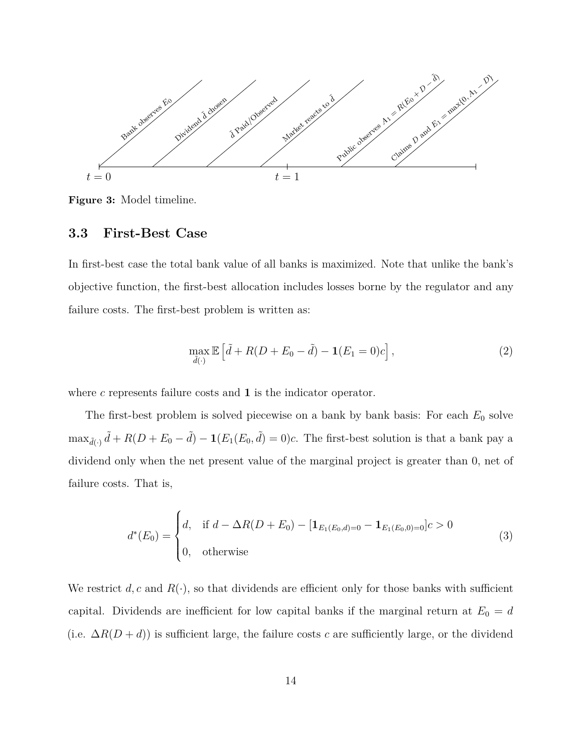

**Figure 3:** Model timeline.

## **3.3 First-Best Case**

In first-best case the total bank value of all banks is maximized. Note that unlike the bank's objective function, the first-best allocation includes losses borne by the regulator and any failure costs. The first-best problem is written as:

$$
\max_{\tilde{d}(\cdot)} \mathbb{E}\left[\tilde{d} + R(D + E_0 - \tilde{d}) - \mathbf{1}(E_1 = 0)c\right],\tag{2}
$$

where *c* represents failure costs and **1** is the indicator operator.

The first-best problem is solved piecewise on a bank by bank basis: For each  $E_0$  solve  $\max_{\tilde{d}(\cdot)} \tilde{d} + R(D + E_0 - \tilde{d}) - \mathbf{1}(E_1(E_0, \tilde{d}) = 0)c$ . The first-best solution is that a bank pay a dividend only when the net present value of the marginal project is greater than 0, net of failure costs. That is,

<span id="page-14-0"></span>
$$
d^*(E_0) = \begin{cases} d, & \text{if } d - \Delta R(D + E_0) - [\mathbf{1}_{E_1(E_0, d) = 0} - \mathbf{1}_{E_1(E_0, 0) = 0}]c > 0 \\ 0, & \text{otherwise} \end{cases} \tag{3}
$$

We restrict  $d, c$  and  $R(\cdot)$ , so that dividends are efficient only for those banks with sufficient capital. Dividends are inefficient for low capital banks if the marginal return at  $E_0 = d$ (i.e.  $\Delta R(D+d)$ ) is sufficient large, the failure costs *c* are sufficiently large, or the dividend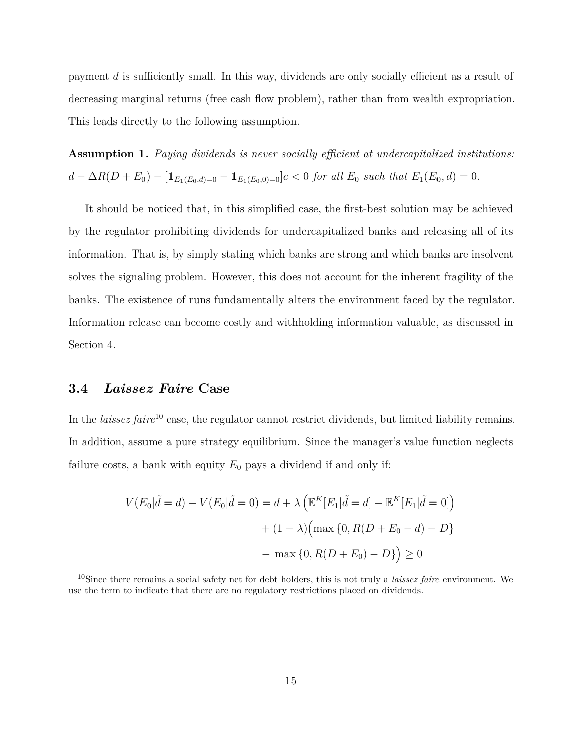payment *d* is sufficiently small. In this way, dividends are only socially efficient as a result of decreasing marginal returns (free cash flow problem), rather than from wealth expropriation. This leads directly to the following assumption.

<span id="page-15-1"></span>**Assumption 1.** *Paying dividends is never socially efficient at undercapitalized institutions:*  $d - \Delta R(D + E_0) - [\mathbf{1}_{E_1(E_0,d)=0} - \mathbf{1}_{E_1(E_0,0)=0}]c < 0$  for all  $E_0$  such that  $E_1(E_0,d) = 0$ .

It should be noticed that, in this simplified case, the first-best solution may be achieved by the regulator prohibiting dividends for undercapitalized banks and releasing all of its information. That is, by simply stating which banks are strong and which banks are insolvent solves the signaling problem. However, this does not account for the inherent fragility of the banks. The existence of runs fundamentally alters the environment faced by the regulator. Information release can become costly and withholding information valuable, as discussed in Section [4.](#page-29-0)

### **3.4** *Laissez Faire* **Case**

In the *laissez faire*[10](#page-15-0) case, the regulator cannot restrict dividends, but limited liability remains. In addition, assume a pure strategy equilibrium. Since the manager's value function neglects failure costs, a bank with equity  $E_0$  pays a dividend if and only if:

$$
V(E_0|\tilde{d} = d) - V(E_0|\tilde{d} = 0) = d + \lambda \left( \mathbb{E}^K[E_1|\tilde{d} = d] - \mathbb{E}^K[E_1|\tilde{d} = 0] \right)
$$

$$
+ (1 - \lambda) \left( \max\{0, R(D + E_0 - d) - D\} \right)
$$

$$
- \max\{0, R(D + E_0) - D\} \ge 0
$$

<span id="page-15-0"></span><sup>10</sup>Since there remains a social safety net for debt holders, this is not truly a *laissez faire* environment. We use the term to indicate that there are no regulatory restrictions placed on dividends.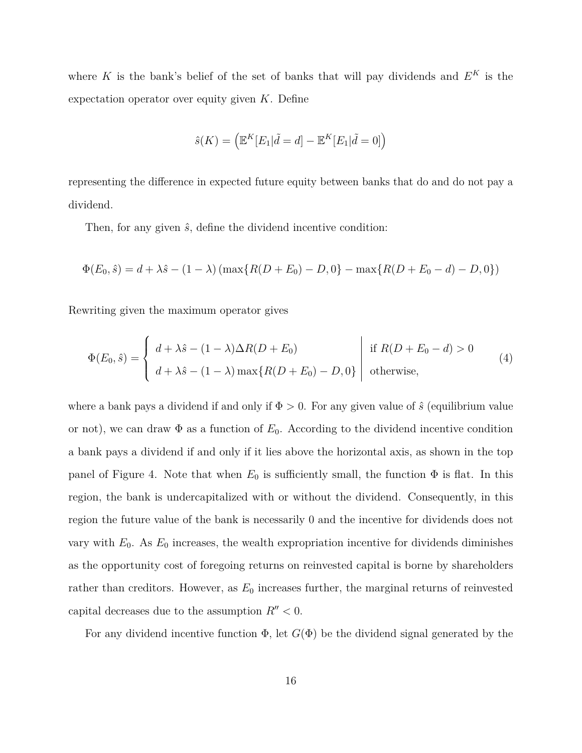where K is the bank's belief of the set of banks that will pay dividends and  $E^K$  is the expectation operator over equity given *K*. Define

$$
\hat{s}(K) = \left( \mathbb{E}^K[E_1 | \tilde{d} = d] - \mathbb{E}^K[E_1 | \tilde{d} = 0] \right)
$$

representing the difference in expected future equity between banks that do and do not pay a dividend.

Then, for any given  $\hat{s}$ , define the dividend incentive condition:

$$
\Phi(E_0, \hat{s}) = d + \lambda \hat{s} - (1 - \lambda) (\max\{R(D + E_0) - D, 0\} - \max\{R(D + E_0 - d) - D, 0\})
$$

Rewriting given the maximum operator gives

$$
\Phi(E_0, \hat{s}) = \begin{cases}\nd + \lambda \hat{s} - (1 - \lambda)\Delta R(D + E_0) & \text{if } R(D + E_0 - d) > 0 \\
d + \lambda \hat{s} - (1 - \lambda)\max\{R(D + E_0) - D, 0\} & \text{otherwise,} \n\end{cases}
$$
\n(4)

where a bank pays a dividend if and only if  $\Phi > 0$ . For any given value of  $\hat{s}$  (equilibrium value or not), we can draw  $\Phi$  as a function of  $E_0$ . According to the dividend incentive condition a bank pays a dividend if and only if it lies above the horizontal axis, as shown in the top panel of Figure [4.](#page-17-0) Note that when  $E_0$  is sufficiently small, the function  $\Phi$  is flat. In this region, the bank is undercapitalized with or without the dividend. Consequently, in this region the future value of the bank is necessarily 0 and the incentive for dividends does not vary with  $E_0$ . As  $E_0$  increases, the wealth expropriation incentive for dividends diminishes as the opportunity cost of foregoing returns on reinvested capital is borne by shareholders rather than creditors. However, as  $E_0$  increases further, the marginal returns of reinvested capital decreases due to the assumption  $R'' < 0$ .

For any dividend incentive function  $\Phi$ , let  $G(\Phi)$  be the dividend signal generated by the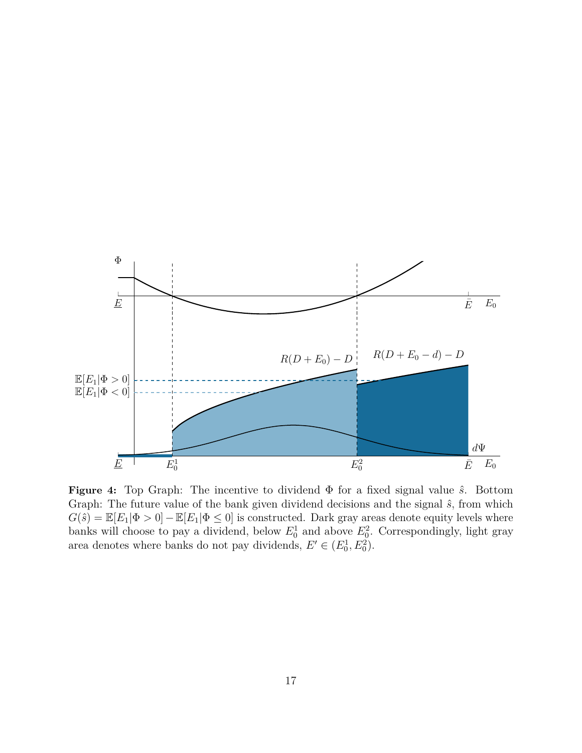<span id="page-17-0"></span>

**Figure 4:** Top Graph: The incentive to dividend Φ for a fixed signal value *s*ˆ. Bottom Graph: The future value of the bank given dividend decisions and the signal  $\hat{s}$ , from which  $G(\hat{s}) = \mathbb{E}[E_1|\Phi > 0] - \mathbb{E}[E_1|\Phi \le 0]$  is constructed. Dark gray areas denote equity levels where banks will choose to pay a dividend, below  $E_0^1$  and above  $E_0^2$ . Correspondingly, light gray area denotes where banks do not pay dividends,  $E' \in (E_0^1, E_0^2)$ .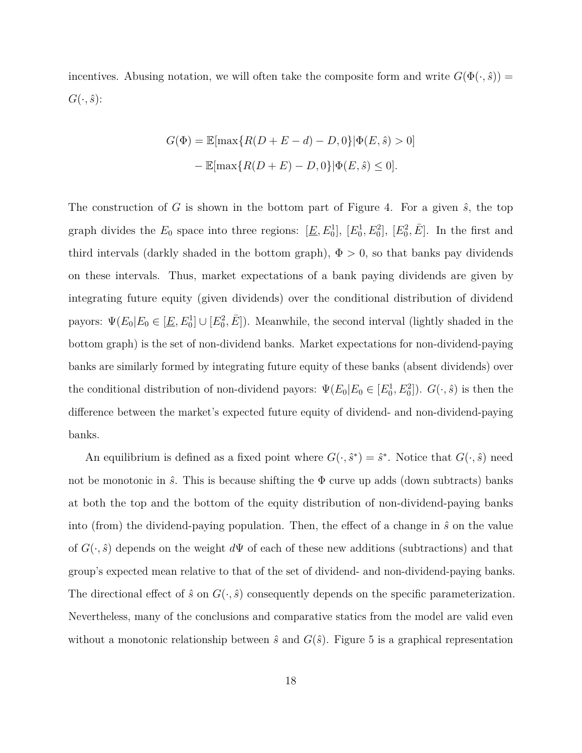incentives. Abusing notation, we will often take the composite form and write  $G(\Phi(\cdot, \hat{s}))$  =  $G(\cdot, \hat{s})$ :

$$
G(\Phi) = \mathbb{E}[\max\{R(D + E - d) - D, 0\} | \Phi(E, \hat{s}) > 0]
$$

$$
- \mathbb{E}[\max\{R(D + E) - D, 0\} | \Phi(E, \hat{s}) \le 0].
$$

The construction of  $G$  is shown in the bottom part of Figure [4.](#page-17-0) For a given  $\hat{s}$ , the top graph divides the  $E_0$  space into three regions:  $[\underline{E}, E_0^1], [E_0^1, E_0^2], [E_0^2, \overline{E}].$  In the first and third intervals (darkly shaded in the bottom graph),  $\Phi > 0$ , so that banks pay dividends on these intervals. Thus, market expectations of a bank paying dividends are given by integrating future equity (given dividends) over the conditional distribution of dividend payors:  $\Psi(E_0|E_0 \in [\underline{E}, E_0^1] \cup [E_0^2, \overline{E}])$ . Meanwhile, the second interval (lightly shaded in the bottom graph) is the set of non-dividend banks. Market expectations for non-dividend-paying banks are similarly formed by integrating future equity of these banks (absent dividends) over the conditional distribution of non-dividend payors:  $\Psi(E_0|E_0 \in [E_0^1, E_0^2])$ .  $G(\cdot, \hat{s})$  is then the difference between the market's expected future equity of dividend- and non-dividend-paying banks.

An equilibrium is defined as a fixed point where  $G(\cdot, \hat{s}^*) = \hat{s}^*$ . Notice that  $G(\cdot, \hat{s})$  need not be monotonic in  $\hat{s}$ . This is because shifting the  $\Phi$  curve up adds (down subtracts) banks at both the top and the bottom of the equity distribution of non-dividend-paying banks into (from) the dividend-paying population. Then, the effect of a change in *s*ˆ on the value of  $G(\cdot, \hat{s})$  depends on the weight  $d\Psi$  of each of these new additions (subtractions) and that group's expected mean relative to that of the set of dividend- and non-dividend-paying banks. The directional effect of  $\hat{s}$  on  $G(\cdot, \hat{s})$  consequently depends on the specific parameterization. Nevertheless, many of the conclusions and comparative statics from the model are valid even without a monotonic relationship between  $\hat{s}$  and  $G(\hat{s})$ . Figure [5](#page-19-0) is a graphical representation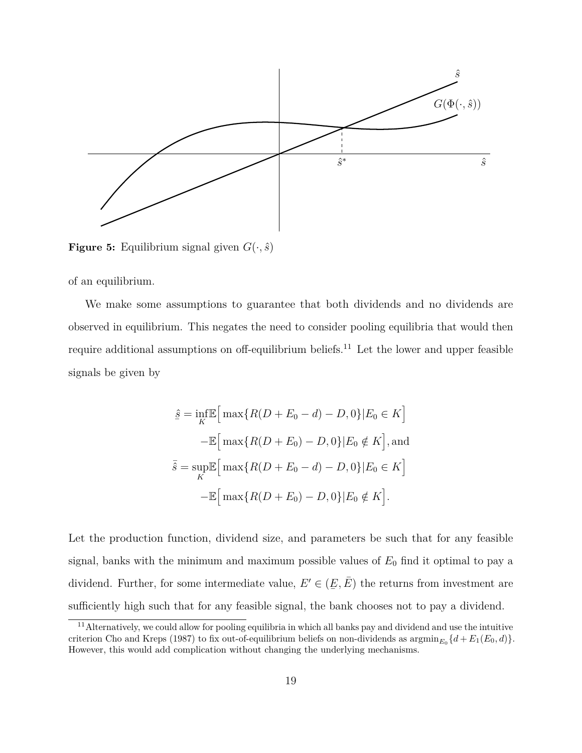<span id="page-19-0"></span>

**Figure 5:** Equilibrium signal given  $G(\cdot, \hat{s})$ 

of an equilibrium.

We make some assumptions to guarantee that both dividends and no dividends are observed in equilibrium. This negates the need to consider pooling equilibria that would then require additional assumptions on off-equilibrium beliefs.<sup>[11](#page-19-1)</sup> Let the lower and upper feasible signals be given by

$$
\hat{g} = \inf_{K} \mathbb{E} \Big[ \max \{ R(D + E_0 - d) - D, 0 \} | E_0 \in K \Big]
$$

$$
- \mathbb{E} \Big[ \max \{ R(D + E_0) - D, 0 \} | E_0 \notin K \Big],
$$
and
$$
\bar{\hat{s}} = \sup_{K} \mathbb{E} \Big[ \max \{ R(D + E_0 - d) - D, 0 \} | E_0 \in K \Big]
$$

$$
- \mathbb{E} \Big[ \max \{ R(D + E_0) - D, 0 \} | E_0 \notin K \Big].
$$

Let the production function, dividend size, and parameters be such that for any feasible signal, banks with the minimum and maximum possible values of *E*<sup>0</sup> find it optimal to pay a dividend. Further, for some intermediate value,  $E' \in ($ ¯  $E, \overline{E}$  the returns from investment are sufficiently high such that for any feasible signal, the bank chooses not to pay a dividend.

<span id="page-19-1"></span> $11$ Alternatively, we could allow for pooling equilibria in which all banks pay and dividend and use the intuitive criterion [Cho and Kreps](#page-43-8) [\(1987\)](#page-43-8) to fix out-of-equilibrium beliefs on non-dividends as  $\operatorname{argmin}_{E_0} \{d + E_1(E_0, d)\}.$ However, this would add complication without changing the underlying mechanisms.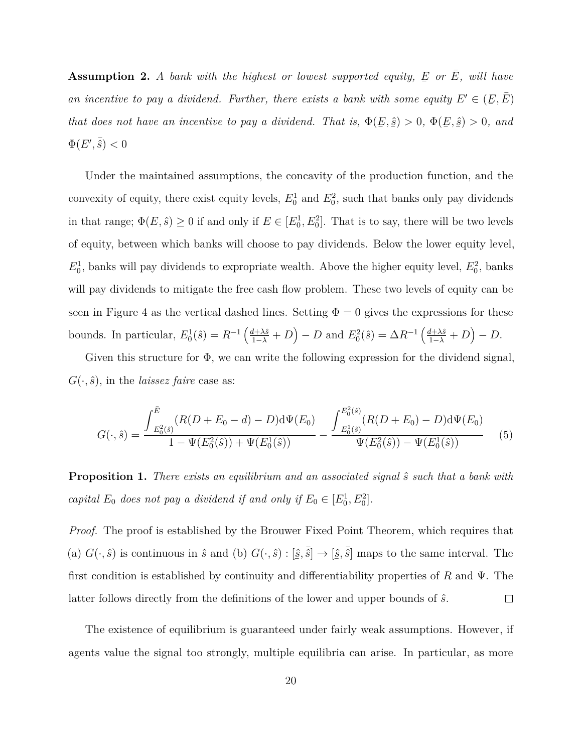**Assumption 2.** *A bank with the highest or lowest supported equity,* ¯  $E$  *or*  $\overline{E}$ *, will have an incentive to pay a dividend. Further, there exists a bank with some equity*  $E' \in ($ ¯  $E, \bar{E}$ ) *that does not have an incentive to pay a dividend. That is,* Φ( ¯ *E,* ¯  $\hat{s}) > 0, \Phi($ ¯ *E,* ¯  $\hat{s}) > 0$ *, and*  $\Phi(E',\overline{\hat{s}}) < 0$ 

Under the maintained assumptions, the concavity of the production function, and the convexity of equity, there exist equity levels,  $E_0^1$  and  $E_0^2$ , such that banks only pay dividends in that range;  $\Phi(E, \hat{s}) \ge 0$  if and only if  $E \in [E_0^1, E_0^2]$ . That is to say, there will be two levels of equity, between which banks will choose to pay dividends. Below the lower equity level,  $E_0^1$ , banks will pay dividends to expropriate wealth. Above the higher equity level,  $E_0^2$ , banks will pay dividends to mitigate the free cash flow problem. These two levels of equity can be seen in Figure [4](#page-17-0) as the vertical dashed lines. Setting  $\Phi = 0$  gives the expressions for these bounds. In particular,  $E_0^1(\hat{s}) = R^{-1} \left( \frac{d + \lambda \hat{s}}{1 - \lambda} + D \right) - D$  and  $E_0^2(\hat{s}) = \Delta R^{-1} \left( \frac{d + \lambda \hat{s}}{1 - \lambda} + D \right) - D$ .

Given this structure for  $\Phi$ , we can write the following expression for the dividend signal,  $G(\cdot, \hat{s})$ , in the *laissez faire* case as:

$$
G(\cdot,\hat{s}) = \frac{\int_{E_0^2(\hat{s})}^{\bar{E}} (R(D+E_0-d)-D) d\Psi(E_0)}{1-\Psi(E_0^2(\hat{s}))+\Psi(E_0^1(\hat{s}))} - \frac{\int_{E_0^1(\hat{s})}^{E_0^2(\hat{s})} (R(D+E_0)-D) d\Psi(E_0)}{\Psi(E_0^2(\hat{s}))-\Psi(E_0^1(\hat{s}))}
$$
(5)

**Proposition 1.** There exists an equilibrium and an associated signal  $\hat{s}$  such that a bank with *capital*  $E_0$  *does not pay a dividend if and only if*  $E_0 \in [E_0^1, E_0^2]$ .

*Proof.* The proof is established by the Brouwer Fixed Point Theorem, which requires that  $\hat{s}, \bar{\hat{s}}] \rightarrow [$  $\hat{g}, \hat{\overline{s}}$  maps to the same interval. The (a)  $G(\cdot, \hat{s})$  is continuous in  $\hat{s}$  and (b)  $G(\cdot, \hat{s})$ : ¯ ¯ first condition is established by continuity and differentiability properties of *R* and Ψ. The latter follows directly from the definitions of the lower and upper bounds of  $\hat{s}$ .  $\Box$ 

The existence of equilibrium is guaranteed under fairly weak assumptions. However, if agents value the signal too strongly, multiple equilibria can arise. In particular, as more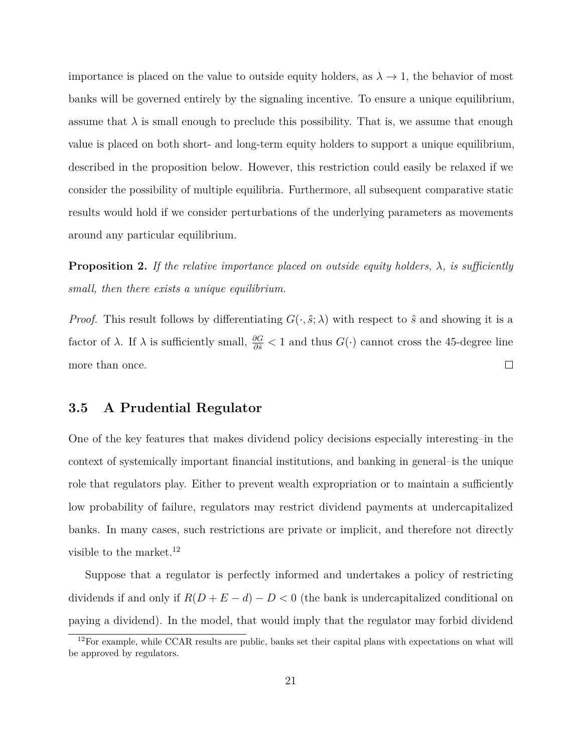importance is placed on the value to outside equity holders, as  $\lambda \to 1$ , the behavior of most banks will be governed entirely by the signaling incentive. To ensure a unique equilibrium, assume that  $\lambda$  is small enough to preclude this possibility. That is, we assume that enough value is placed on both short- and long-term equity holders to support a unique equilibrium, described in the proposition below. However, this restriction could easily be relaxed if we consider the possibility of multiple equilibria. Furthermore, all subsequent comparative static results would hold if we consider perturbations of the underlying parameters as movements around any particular equilibrium.

**Proposition 2.** If the relative importance placed on outside equity holders,  $\lambda$ , is sufficiently *small, then there exists a unique equilibrium.*

*Proof.* This result follows by differentiating  $G(\cdot, \hat{s}; \lambda)$  with respect to  $\hat{s}$  and showing it is a factor of  $\lambda$ . If  $\lambda$  is sufficiently small,  $\frac{\partial G}{\partial \delta}$  < 1 and thus  $G(\cdot)$  cannot cross the 45-degree line more than once.  $\Box$ 

## <span id="page-21-1"></span>**3.5 A Prudential Regulator**

One of the key features that makes dividend policy decisions especially interesting–in the context of systemically important financial institutions, and banking in general–is the unique role that regulators play. Either to prevent wealth expropriation or to maintain a sufficiently low probability of failure, regulators may restrict dividend payments at undercapitalized banks. In many cases, such restrictions are private or implicit, and therefore not directly visible to the market.<sup>[12](#page-21-0)</sup>

Suppose that a regulator is perfectly informed and undertakes a policy of restricting dividends if and only if  $R(D + E - d) - D < 0$  (the bank is undercapitalized conditional on paying a dividend). In the model, that would imply that the regulator may forbid dividend

<span id="page-21-0"></span> $12$ For example, while CCAR results are public, banks set their capital plans with expectations on what will be approved by regulators.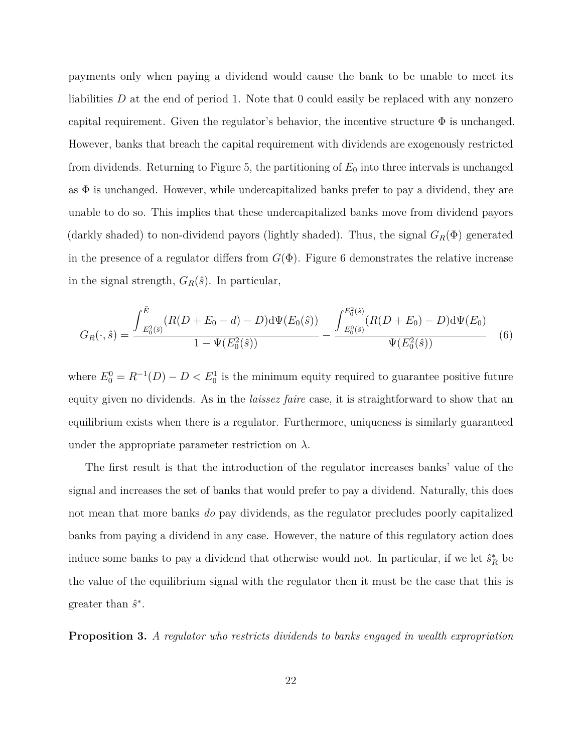payments only when paying a dividend would cause the bank to be unable to meet its liabilities D at the end of period 1. Note that 0 could easily be replaced with any nonzero capital requirement. Given the regulator's behavior, the incentive structure  $\Phi$  is unchanged. However, banks that breach the capital requirement with dividends are exogenously restricted from dividends. Returning to Figure [5,](#page-19-0) the partitioning of  $E_0$  into three intervals is unchanged as  $\Phi$  is unchanged. However, while undercapitalized banks prefer to pay a dividend, they are unable to do so. This implies that these undercapitalized banks move from dividend payors (darkly shaded) to non-dividend payors (lightly shaded). Thus, the signal *GR*(Φ) generated in the presence of a regulator differs from  $G(\Phi)$ . Figure [6](#page-23-0) demonstrates the relative increase in the signal strength,  $G_R(\hat{s})$ . In particular,

$$
G_R(\cdot,\hat{s}) = \frac{\int_{E_0^2(\hat{s})}^{\bar{E}} (R(D+E_0-d)-D) d\Psi(E_0(\hat{s}))}{1-\Psi(E_0^2(\hat{s}))} - \frac{\int_{E_0^0(\hat{s})}^{E_0^2(\hat{s})} (R(D+E_0)-D) d\Psi(E_0)}{\Psi(E_0^2(\hat{s}))}
$$
(6)

where  $E_0^0 = R^{-1}(D) - D < E_0^1$  is the minimum equity required to guarantee positive future equity given no dividends. As in the *laissez faire* case, it is straightforward to show that an equilibrium exists when there is a regulator. Furthermore, uniqueness is similarly guaranteed under the appropriate parameter restriction on  $\lambda$ .

The first result is that the introduction of the regulator increases banks' value of the signal and increases the set of banks that would prefer to pay a dividend. Naturally, this does not mean that more banks *do* pay dividends, as the regulator precludes poorly capitalized banks from paying a dividend in any case. However, the nature of this regulatory action does induce some banks to pay a dividend that otherwise would not. In particular, if we let  $\hat{s}_R^*$  be the value of the equilibrium signal with the regulator then it must be the case that this is greater than  $\hat{s}^*$ .

**Proposition 3.** *A regulator who restricts dividends to banks engaged in wealth expropriation*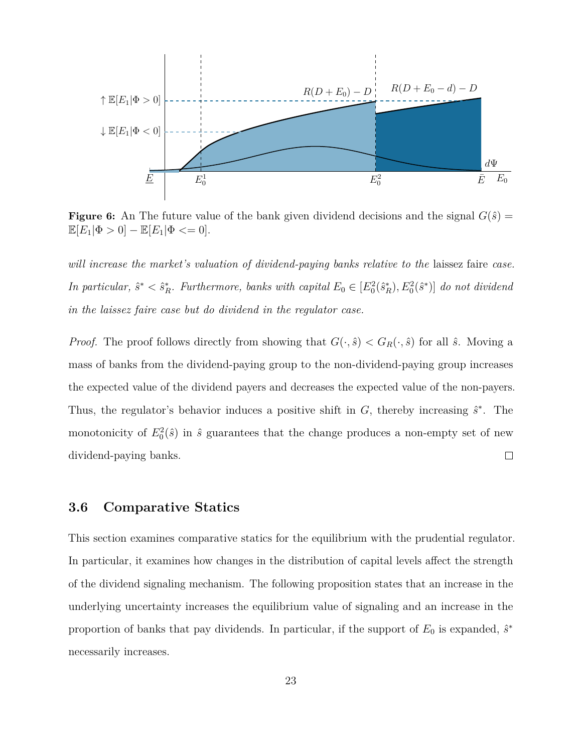<span id="page-23-0"></span>

**Figure 6:** An The future value of the bank given dividend decisions and the signal  $G(\hat{s})$  =  $\mathbb{E}[E_1|\Phi > 0] - \mathbb{E}[E_1|\Phi < 0].$ 

*will increase the market's valuation of dividend-paying banks relative to the* laissez faire *case*. *In particular,*  $\hat{s}^* < \hat{s}_R^*$ . Furthermore, banks with capital  $E_0 \in [E_0^2(\hat{s}_R^*), E_0^2(\hat{s}^*)]$  do not dividend *in the laissez faire case but do dividend in the regulator case.*

*Proof.* The proof follows directly from showing that  $G(\cdot, \hat{s}) < G_R(\cdot, \hat{s})$  for all  $\hat{s}$ . Moving a mass of banks from the dividend-paying group to the non-dividend-paying group increases the expected value of the dividend payers and decreases the expected value of the non-payers. Thus, the regulator's behavior induces a positive shift in  $G$ , thereby increasing  $\hat{s}^*$ . The monotonicity of  $E_0^2(\hat{s})$  in  $\hat{s}$  guarantees that the change produces a non-empty set of new dividend-paying banks.  $\Box$ 

# **3.6 Comparative Statics**

This section examines comparative statics for the equilibrium with the prudential regulator. In particular, it examines how changes in the distribution of capital levels affect the strength of the dividend signaling mechanism. The following proposition states that an increase in the underlying uncertainty increases the equilibrium value of signaling and an increase in the proportion of banks that pay dividends. In particular, if the support of  $E_0$  is expanded,  $\hat{s}^*$ necessarily increases.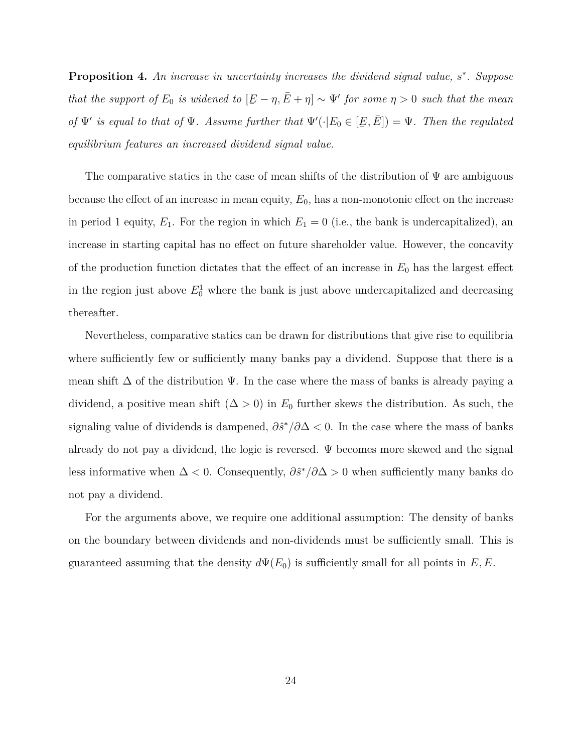<span id="page-24-0"></span>**Proposition 4.** *An increase in uncertainty increases the dividend signal value, s* ∗ *. Suppose that the support of*  $E_0$  *is widened to*  $\left[ \underline{E} \right]$  $E - \eta$ ,  $\bar{E} + \eta$  ∼ Ψ' for some  $\eta > 0$  such that the mean *of*  $\Psi'$  *is equal to that of*  $\Psi$ *. Assume further that*  $\Psi'(\cdot|E_0 \in [\underline{E}$  $(E, \overline{E}) = \Psi$ *. Then the regulated equilibrium features an increased dividend signal value.*

The comparative statics in the case of mean shifts of the distribution of  $\Psi$  are ambiguous because the effect of an increase in mean equity, *E*0, has a non-monotonic effect on the increase in period 1 equity,  $E_1$ . For the region in which  $E_1 = 0$  (i.e., the bank is undercapitalized), an increase in starting capital has no effect on future shareholder value. However, the concavity of the production function dictates that the effect of an increase in  $E_0$  has the largest effect in the region just above  $E_0^1$  where the bank is just above undercapitalized and decreasing thereafter.

Nevertheless, comparative statics can be drawn for distributions that give rise to equilibria where sufficiently few or sufficiently many banks pay a dividend. Suppose that there is a mean shift  $\Delta$  of the distribution  $\Psi$ . In the case where the mass of banks is already paying a dividend, a positive mean shift  $(\Delta > 0)$  in  $E_0$  further skews the distribution. As such, the signaling value of dividends is dampened, *∂s*ˆ <sup>∗</sup>*/∂*∆ *<* 0. In the case where the mass of banks already do not pay a dividend, the logic is reversed.  $\Psi$  becomes more skewed and the signal less informative when  $\Delta < 0$ . Consequently,  $\partial \hat{s}^* / \partial \Delta > 0$  when sufficiently many banks do not pay a dividend.

For the arguments above, we require one additional assumption: The density of banks on the boundary between dividends and non-dividends must be sufficiently small. This is guaranteed assuming that the density  $d\Psi(E_0)$  is sufficiently small for all points in  $\underline{F}$  $E, \bar{E}.$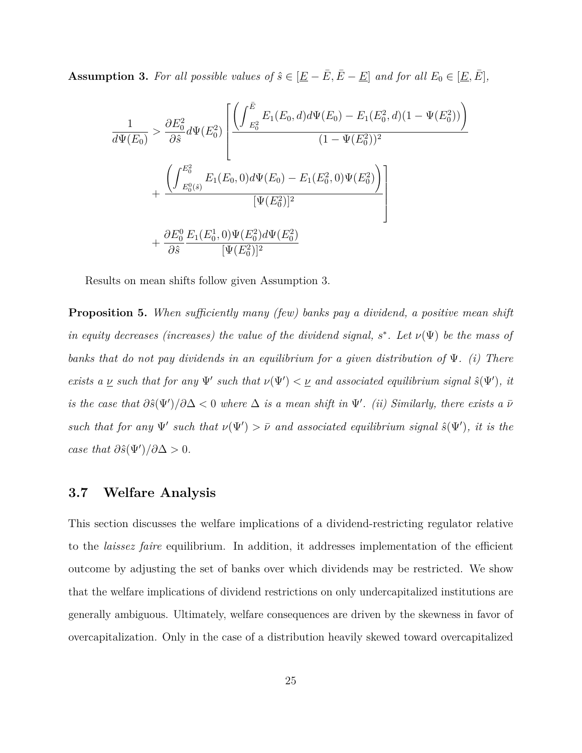<span id="page-25-0"></span>**Assumption 3.** For all possible values of  $\hat{s} \in [\underline{E} - \overline{E}, \overline{E} - \underline{E}]$  and for all  $E_0 \in [\underline{E}, \overline{E}]$ ,

$$
\frac{1}{d\Psi(E_0)} > \frac{\partial E_0^2}{\partial \hat{s}} d\Psi(E_0^2) \left[ \frac{\left( \int_{E_0^2}^{\bar{E}} E_1(E_0, d) d\Psi(E_0) - E_1(E_0^2, d)(1 - \Psi(E_0^2)) \right)}{(1 - \Psi(E_0^2))^2} \right. \\
\left. + \frac{\left( \int_{E_0^0(\hat{s})}^{E_0^2} E_1(E_0, 0) d\Psi(E_0) - E_1(E_0^2, 0) \Psi(E_0^2) \right)}{[\Psi(E_0^2)]^2} \right]
$$
\n
$$
+ \frac{\partial E_0^0}{\partial \hat{s}} \frac{E_1(E_0^1, 0) \Psi(E_0^2) d\Psi(E_0^2)}{[\Psi(E_0^2)]^2}
$$

Results on mean shifts follow given Assumption [3.](#page-25-0)

<span id="page-25-2"></span>**Proposition 5.** *When sufficiently many (few) banks pay a dividend, a positive mean shift in equity decreases (increases) the value of the dividend signal,*  $s^*$ . Let  $\nu(\Psi)$  be the mass of *banks that do not pay dividends in an equilibrium for a given distribution of* Ψ*. (i) There exists a*  $\nu$  *such that for any*  $\Psi'$  *such that*  $\nu(\Psi') < \nu$  *and associated equilibrium signal*  $\hat{s}(\Psi')$ *, it is the case that*  $\partial \hat{s}(\Psi')/\partial \Delta < 0$  where  $\Delta$  *is a mean shift in*  $\Psi'$ . *(ii) Similarly, there exists a*  $\bar{\nu}$ *such that for any*  $\Psi'$  *such that*  $\nu(\Psi') > \bar{\nu}$  *and associated equilibrium signal*  $\hat{s}(\Psi')$ *, it is the case that*  $\partial \hat{s}(\Psi')/\partial \Delta > 0$ *.* 

### <span id="page-25-1"></span>**3.7 Welfare Analysis**

This section discusses the welfare implications of a dividend-restricting regulator relative to the *laissez faire* equilibrium. In addition, it addresses implementation of the efficient outcome by adjusting the set of banks over which dividends may be restricted. We show that the welfare implications of dividend restrictions on only undercapitalized institutions are generally ambiguous. Ultimately, welfare consequences are driven by the skewness in favor of overcapitalization. Only in the case of a distribution heavily skewed toward overcapitalized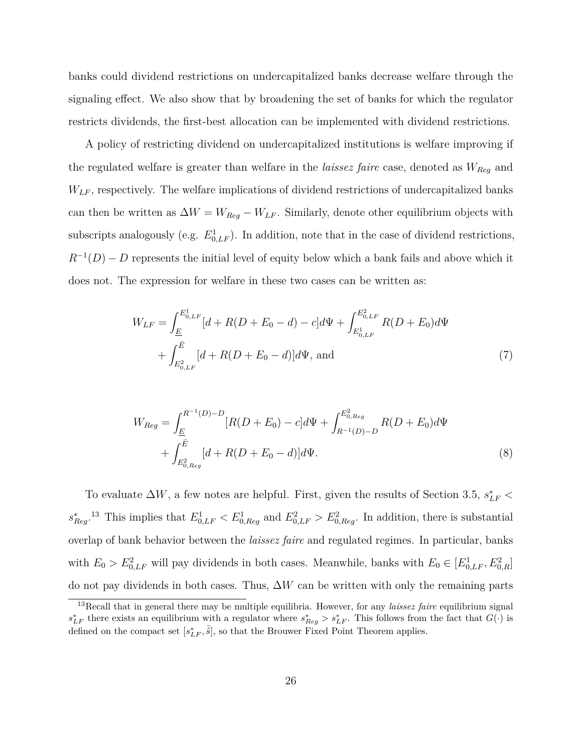banks could dividend restrictions on undercapitalized banks decrease welfare through the signaling effect. We also show that by broadening the set of banks for which the regulator restricts dividends, the first-best allocation can be implemented with dividend restrictions.

A policy of restricting dividend on undercapitalized institutions is welfare improving if the regulated welfare is greater than welfare in the *laissez faire* case, denoted as *WReg* and *WLF* , respectively. The welfare implications of dividend restrictions of undercapitalized banks can then be written as  $\Delta W = W_{Reg} - W_{LF}$ . Similarly, denote other equilibrium objects with subscripts analogously (e.g.  $E_{0,LF}^1$ ). In addition, note that in the case of dividend restrictions,  $R^{-1}(D) - D$  represents the initial level of equity below which a bank fails and above which it does not. The expression for welfare in these two cases can be written as:

$$
W_{LF} = \int_{\underline{E}}^{E_{0,LF}^{1}} [d + R(D + E_{0} - d) - c] d\Psi + \int_{E_{0,LF}^{1}}^{E_{0,LF}^{2}} R(D + E_{0}) d\Psi
$$
  
+ 
$$
\int_{E_{0,LF}^{2}}^{\overline{E}} [d + R(D + E_{0} - d)] d\Psi
$$
, and (7)

$$
W_{Reg} = \int_{\underline{E}}^{R^{-1}(D)-D} [R(D+E_0) - c]d\Psi + \int_{R^{-1}(D)-D}^{E_{0,Reg}^2} R(D+E_0)d\Psi
$$
  
+ 
$$
\int_{E_{0,Reg}^2}^{\overline{E}} [d + R(D+E_0 - d)]d\Psi.
$$
 (8)

To evaluate  $\Delta W$ , a few notes are helpful. First, given the results of Section [3.5,](#page-21-1)  $s_{LF}^*$  <  $s_{Reg}^*$ <sup>[13](#page-26-0)</sup> This implies that  $E_{0,LF}^1 < E_{0,Reg}^1$  and  $E_{0,LF}^2 > E_{0,Reg}^2$ . In addition, there is substantial overlap of bank behavior between the *laissez faire* and regulated regimes. In particular, banks with  $E_0 > E_{0,LF}^2$  will pay dividends in both cases. Meanwhile, banks with  $E_0 \in [E_{0,LF}^1, E_{0,R}^2]$ do not pay dividends in both cases. Thus, ∆*W* can be written with only the remaining parts

<span id="page-26-0"></span><sup>13</sup>Recall that in general there may be multiple equilibria. However, for any *laissez faire* equilibrium signal  $s_{LF}^*$  there exists an equilibrium with a regulator where  $s_{Reg}^* > s_{LF}^*$ . This follows from the fact that  $G(\cdot)$  is defined on the compact set  $[s_{LF}^*, \overline{\hat{s}}]$ , so that the Brouwer Fixed Point Theorem applies.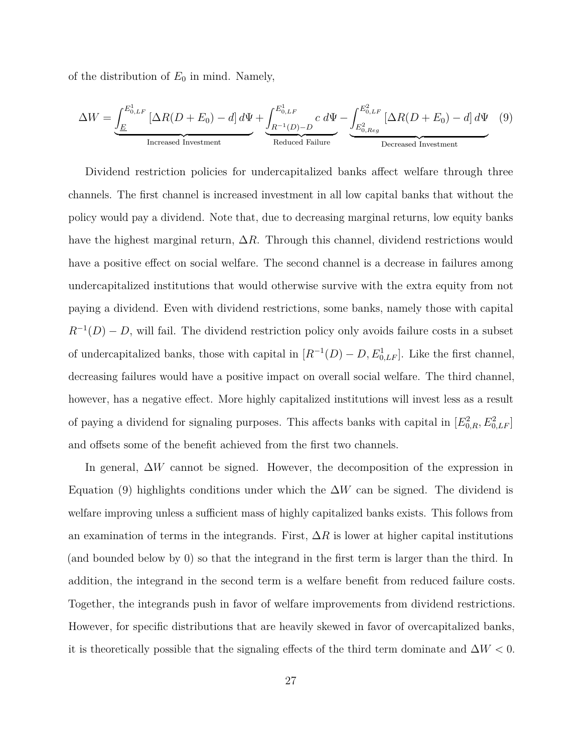of the distribution of  $E_0$  in mind. Namely,

<span id="page-27-0"></span>
$$
\Delta W = \underbrace{\int_{E}^{E_{0,LF}^{1}} \left[ \Delta R(D + E_{0}) - d \right] d\Psi}_{\text{Increased Investment}} + \underbrace{\int_{R^{-1}(D) - D}^{E_{0,LF}^{1}} c \ d\Psi}_{\text{Reduced Failure}} - \underbrace{\int_{E_{0,Reg}^{2}}^{E_{0,LF}^{2}} \left[ \Delta R(D + E_{0}) - d \right] d\Psi}_{\text{Decreased Investment}}
$$
(9)

Dividend restriction policies for undercapitalized banks affect welfare through three channels. The first channel is increased investment in all low capital banks that without the policy would pay a dividend. Note that, due to decreasing marginal returns, low equity banks have the highest marginal return, ∆*R*. Through this channel, dividend restrictions would have a positive effect on social welfare. The second channel is a decrease in failures among undercapitalized institutions that would otherwise survive with the extra equity from not paying a dividend. Even with dividend restrictions, some banks, namely those with capital  $R^{-1}(D) - D$ , will fail. The dividend restriction policy only avoids failure costs in a subset of undercapitalized banks, those with capital in  $[R^{-1}(D) - D, E_{0,LF}^1]$ . Like the first channel, decreasing failures would have a positive impact on overall social welfare. The third channel, however, has a negative effect. More highly capitalized institutions will invest less as a result of paying a dividend for signaling purposes. This affects banks with capital in  $[E_{0,R}^2, E_{0,LF}^2]$ and offsets some of the benefit achieved from the first two channels.

In general, ∆*W* cannot be signed. However, the decomposition of the expression in Equation [\(9\)](#page-27-0) highlights conditions under which the ∆*W* can be signed. The dividend is welfare improving unless a sufficient mass of highly capitalized banks exists. This follows from an examination of terms in the integrands. First,  $\Delta R$  is lower at higher capital institutions (and bounded below by 0) so that the integrand in the first term is larger than the third. In addition, the integrand in the second term is a welfare benefit from reduced failure costs. Together, the integrands push in favor of welfare improvements from dividend restrictions. However, for specific distributions that are heavily skewed in favor of overcapitalized banks, it is theoretically possible that the signaling effects of the third term dominate and ∆*W <* 0.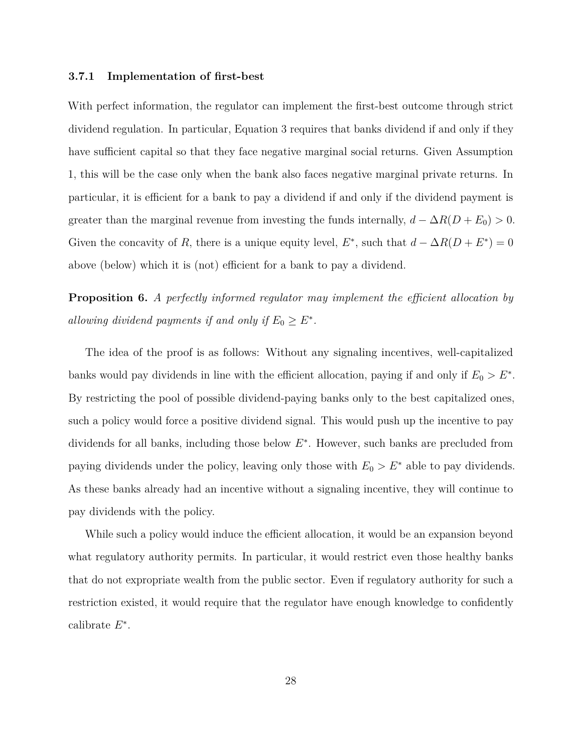#### **3.7.1 Implementation of first-best**

With perfect information, the regulator can implement the first-best outcome through strict dividend regulation. In particular, Equation [3](#page-14-0) requires that banks dividend if and only if they have sufficient capital so that they face negative marginal social returns. Given Assumption [1,](#page-15-1) this will be the case only when the bank also faces negative marginal private returns. In particular, it is efficient for a bank to pay a dividend if and only if the dividend payment is greater than the marginal revenue from investing the funds internally,  $d - \Delta R(D + E_0) > 0$ . Given the concavity of *R*, there is a unique equity level,  $E^*$ , such that  $d - \Delta R(D + E^*) = 0$ above (below) which it is (not) efficient for a bank to pay a dividend.

**Proposition 6.** *A perfectly informed regulator may implement the efficient allocation by allowing dividend payments if and only if*  $E_0 \geq E^*$ .

The idea of the proof is as follows: Without any signaling incentives, well-capitalized banks would pay dividends in line with the efficient allocation, paying if and only if  $E_0 > E^*$ . By restricting the pool of possible dividend-paying banks only to the best capitalized ones, such a policy would force a positive dividend signal. This would push up the incentive to pay dividends for all banks, including those below *E* ∗ . However, such banks are precluded from paying dividends under the policy, leaving only those with  $E_0 > E^*$  able to pay dividends. As these banks already had an incentive without a signaling incentive, they will continue to pay dividends with the policy.

While such a policy would induce the efficient allocation, it would be an expansion beyond what regulatory authority permits. In particular, it would restrict even those healthy banks that do not expropriate wealth from the public sector. Even if regulatory authority for such a restriction existed, it would require that the regulator have enough knowledge to confidently calibrate *E* ∗ .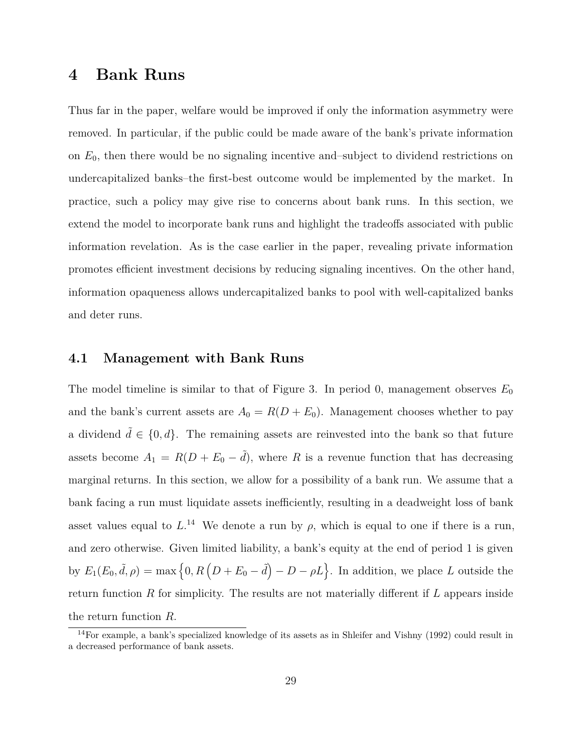# <span id="page-29-0"></span>**4 Bank Runs**

Thus far in the paper, welfare would be improved if only the information asymmetry were removed. In particular, if the public could be made aware of the bank's private information on  $E_0$ , then there would be no signaling incentive and–subject to dividend restrictions on undercapitalized banks–the first-best outcome would be implemented by the market. In practice, such a policy may give rise to concerns about bank runs. In this section, we extend the model to incorporate bank runs and highlight the tradeoffs associated with public information revelation. As is the case earlier in the paper, revealing private information promotes efficient investment decisions by reducing signaling incentives. On the other hand, information opaqueness allows undercapitalized banks to pool with well-capitalized banks and deter runs.

### **4.1 Management with Bank Runs**

The model timeline is similar to that of Figure 3. In period 0, management observes  $E_0$ and the bank's current assets are  $A_0 = R(D + E_0)$ . Management chooses whether to pay a dividend  $\tilde{d} \in \{0, d\}$ . The remaining assets are reinvested into the bank so that future assets become  $A_1 = R(D + E_0 - \tilde{d})$ , where *R* is a revenue function that has decreasing marginal returns. In this section, we allow for a possibility of a bank run. We assume that a bank facing a run must liquidate assets inefficiently, resulting in a deadweight loss of bank asset values equal to  $L^{14}$  $L^{14}$  $L^{14}$  We denote a run by  $\rho$ , which is equal to one if there is a run, and zero otherwise. Given limited liability, a bank's equity at the end of period 1 is given by  $E_1(E_0, \tilde{d}, \rho) = \max\left\{0, R\left(D + E_0 - \tilde{d}\right) - D - \rho L\right\}$ . In addition, we place *L* outside the return function *R* for simplicity. The results are not materially different if *L* appears inside the return function *R*.

<span id="page-29-1"></span><sup>14</sup>For example, a bank's specialized knowledge of its assets as in [Shleifer and Vishny](#page-45-6) [\(1992\)](#page-45-6) could result in a decreased performance of bank assets.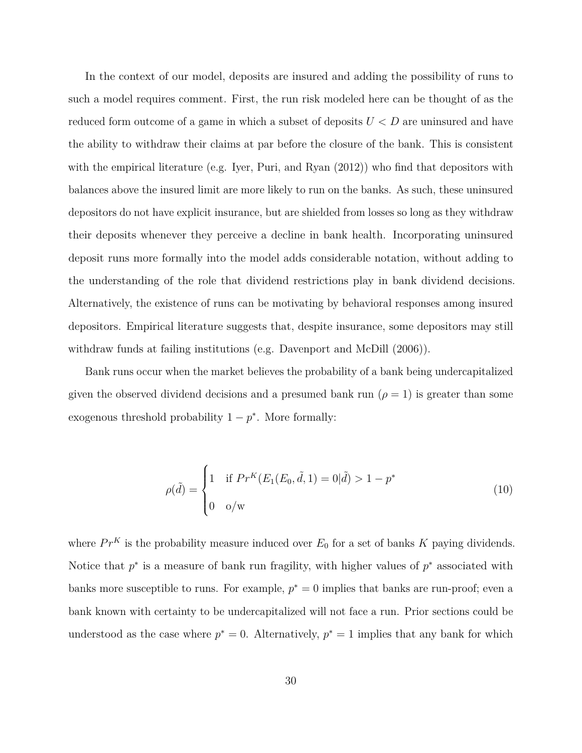In the context of our model, deposits are insured and adding the possibility of runs to such a model requires comment. First, the run risk modeled here can be thought of as the reduced form outcome of a game in which a subset of deposits *U < D* are uninsured and have the ability to withdraw their claims at par before the closure of the bank. This is consistent with the empirical literature (e.g. [Iyer, Puri, and Ryan](#page-45-7) [\(2012\)](#page-45-7)) who find that depositors with balances above the insured limit are more likely to run on the banks. As such, these uninsured depositors do not have explicit insurance, but are shielded from losses so long as they withdraw their deposits whenever they perceive a decline in bank health. Incorporating uninsured deposit runs more formally into the model adds considerable notation, without adding to the understanding of the role that dividend restrictions play in bank dividend decisions. Alternatively, the existence of runs can be motivating by behavioral responses among insured depositors. Empirical literature suggests that, despite insurance, some depositors may still withdraw funds at failing institutions (e.g. [Davenport and McDill](#page-44-8)  $(2006)$ ).

Bank runs occur when the market believes the probability of a bank being undercapitalized given the observed dividend decisions and a presumed bank run  $(\rho = 1)$  is greater than some exogenous threshold probability  $1 - p^*$ . More formally:

$$
\rho(\tilde{d}) = \begin{cases} 1 & \text{if } Pr^K(E_1(E_0, \tilde{d}, 1) = 0 | \tilde{d}) > 1 - p^* \\ 0 & \text{o/w} \end{cases}
$$
(10)

where  $Pr^K$  is the probability measure induced over  $E_0$  for a set of banks  $K$  paying dividends. Notice that  $p^*$  is a measure of bank run fragility, with higher values of  $p^*$  associated with banks more susceptible to runs. For example,  $p^* = 0$  implies that banks are run-proof; even a bank known with certainty to be undercapitalized will not face a run. Prior sections could be understood as the case where  $p^* = 0$ . Alternatively,  $p^* = 1$  implies that any bank for which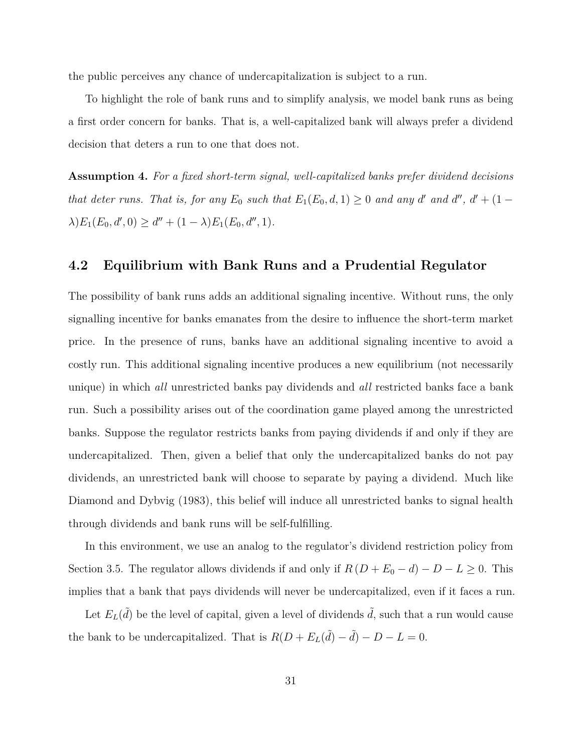the public perceives any chance of undercapitalization is subject to a run.

To highlight the role of bank runs and to simplify analysis, we model bank runs as being a first order concern for banks. That is, a well-capitalized bank will always prefer a dividend decision that deters a run to one that does not.

<span id="page-31-0"></span>**Assumption 4.** *For a fixed short-term signal, well-capitalized banks prefer dividend decisions that deter runs. That is, for any*  $E_0$  *such that*  $E_1(E_0, d, 1) \geq 0$  *and any d' and d''*, *d'* + (1 –  $\lambda$ ) $E_1(E_0, d', 0) \ge d'' + (1 - \lambda)E_1(E_0, d'', 1).$ 

## **4.2 Equilibrium with Bank Runs and a Prudential Regulator**

The possibility of bank runs adds an additional signaling incentive. Without runs, the only signalling incentive for banks emanates from the desire to influence the short-term market price. In the presence of runs, banks have an additional signaling incentive to avoid a costly run. This additional signaling incentive produces a new equilibrium (not necessarily unique) in which *all* unrestricted banks pay dividends and *all* restricted banks face a bank run. Such a possibility arises out of the coordination game played among the unrestricted banks. Suppose the regulator restricts banks from paying dividends if and only if they are undercapitalized. Then, given a belief that only the undercapitalized banks do not pay dividends, an unrestricted bank will choose to separate by paying a dividend. Much like [Diamond and Dybvig](#page-44-9) [\(1983\)](#page-44-9), this belief will induce all unrestricted banks to signal health through dividends and bank runs will be self-fulfilling.

In this environment, we use an analog to the regulator's dividend restriction policy from Section [3.5.](#page-21-1) The regulator allows dividends if and only if  $R(D + E_0 - d) - D - L \ge 0$ . This implies that a bank that pays dividends will never be undercapitalized, even if it faces a run.

Let  $E_L(\tilde{d})$  be the level of capital, given a level of dividends  $\tilde{d}$ , such that a run would cause the bank to be undercapitalized. That is  $R(D + E_L(\tilde{d}) - \tilde{d}) - D - L = 0$ .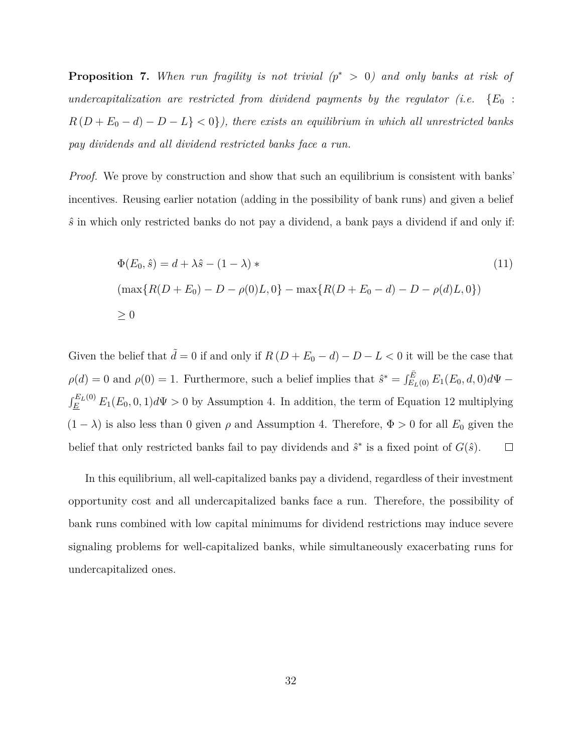**Proposition 7.** When run fragility is not trivial  $(p^* > 0)$  and only banks at risk of *undercapitalization are restricted from dividend payments by the regulator (i.e.*  ${E_0}$ :  $R(D + E_0 - d) - D - L$ }  $<$  0}*)*, there exists an equilibrium in which all unrestricted banks *pay dividends and all dividend restricted banks face a run.*

*Proof.* We prove by construction and show that such an equilibrium is consistent with banks' incentives. Reusing earlier notation (adding in the possibility of bank runs) and given a belief  $\hat{s}$  in which only restricted banks do not pay a dividend, a bank pays a dividend if and only if:

<span id="page-32-0"></span>
$$
\Phi(E_0, \hat{s}) = d + \lambda \hat{s} - (1 - \lambda) * \tag{11}
$$
\n
$$
(\max\{R(D + E_0) - D - \rho(0)L, 0\} - \max\{R(D + E_0 - d) - D - \rho(d)L, 0\})
$$
\n
$$
\ge 0
$$

Given the belief that  $\tilde{d} = 0$  if and only if  $R(D + E_0 - d) - D - L < 0$  it will be the case that  $\rho(d) = 0$  and  $\rho(0) = 1$ . Furthermore, such a belief implies that  $\hat{s}^* = \int_{E_L(0)}^{\bar{E}} E_1(E_0, d, 0) d\Psi$  –  $\int_{E}^{E_L(0)} E_1(E_0, 0, 1) d\Psi > 0$  by Assumption [4.](#page-31-0) In addition, the term of Equation [12](#page-32-0) multiplying  $(1 - \lambda)$  is also less than 0 given  $\rho$  and Assumption [4.](#page-31-0) Therefore,  $\Phi > 0$  for all  $E_0$  given the belief that only restricted banks fail to pay dividends and  $\hat{s}^*$  is a fixed point of  $G(\hat{s})$ .  $\Box$ 

In this equilibrium, all well-capitalized banks pay a dividend, regardless of their investment opportunity cost and all undercapitalized banks face a run. Therefore, the possibility of bank runs combined with low capital minimums for dividend restrictions may induce severe signaling problems for well-capitalized banks, while simultaneously exacerbating runs for undercapitalized ones.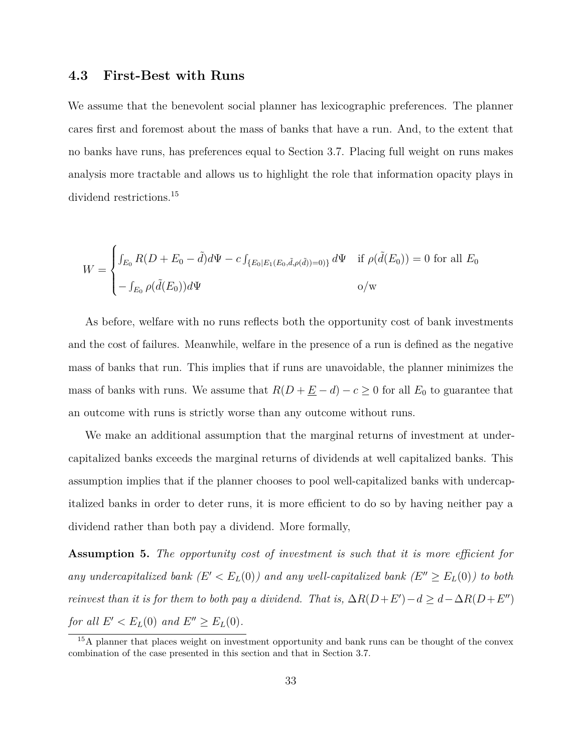### **4.3 First-Best with Runs**

We assume that the benevolent social planner has lexicographic preferences. The planner cares first and foremost about the mass of banks that have a run. And, to the extent that no banks have runs, has preferences equal to Section [3.7.](#page-25-1) Placing full weight on runs makes analysis more tractable and allows us to highlight the role that information opacity plays in dividend restrictions.<sup>[15](#page-33-0)</sup>

$$
W = \begin{cases} \int_{E_0} R(D + E_0 - \tilde{d}) d\Psi - c \int_{\{E_0 | E_1(E_0, \tilde{d}, \rho(\tilde{d})) = 0\}} d\Psi & \text{if } \rho(\tilde{d}(E_0)) = 0 \text{ for all } E_0 \\ - \int_{E_0} \rho(\tilde{d}(E_0)) d\Psi & o/w \end{cases}
$$

As before, welfare with no runs reflects both the opportunity cost of bank investments and the cost of failures. Meanwhile, welfare in the presence of a run is defined as the negative mass of banks that run. This implies that if runs are unavoidable, the planner minimizes the mass of banks with runs. We assume that  $R(D + \underline{E} - d) - c \geq 0$  for all  $E_0$  to guarantee that an outcome with runs is strictly worse than any outcome without runs.

We make an additional assumption that the marginal returns of investment at undercapitalized banks exceeds the marginal returns of dividends at well capitalized banks. This assumption implies that if the planner chooses to pool well-capitalized banks with undercapitalized banks in order to deter runs, it is more efficient to do so by having neither pay a dividend rather than both pay a dividend. More formally,

<span id="page-33-1"></span>**Assumption 5.** *The opportunity cost of investment is such that it is more efficient for* any undercapitalized bank  $(E' < E_L(0))$  and any well-capitalized bank  $(E'' \geq E_L(0))$  to both *reinvest than it is for them to both pay a dividend. That is,*  $\Delta R(D+E') - d \geq d - \Delta R(D+E'')$ *for all*  $E' < E_L(0)$  *and*  $E'' \ge E_L(0)$ *.* 

<span id="page-33-0"></span><sup>15</sup>A planner that places weight on investment opportunity and bank runs can be thought of the convex combination of the case presented in this section and that in Section [3.7.](#page-25-1)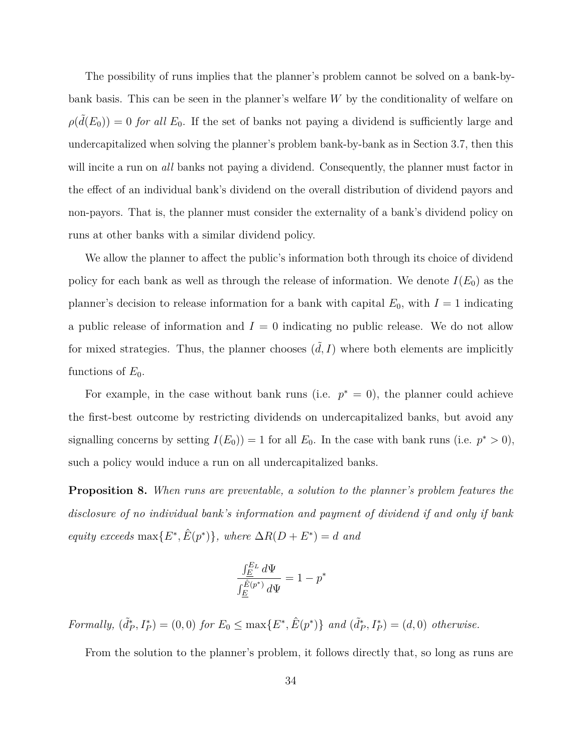The possibility of runs implies that the planner's problem cannot be solved on a bank-bybank basis. This can be seen in the planner's welfare *W* by the conditionality of welfare on  $\rho(\tilde{d}(E_0)) = 0$  *for all*  $E_0$ . If the set of banks not paying a dividend is sufficiently large and undercapitalized when solving the planner's problem bank-by-bank as in Section [3.7,](#page-25-1) then this will incite a run on *all* banks not paying a dividend. Consequently, the planner must factor in the effect of an individual bank's dividend on the overall distribution of dividend payors and non-payors. That is, the planner must consider the externality of a bank's dividend policy on runs at other banks with a similar dividend policy.

We allow the planner to affect the public's information both through its choice of dividend policy for each bank as well as through the release of information. We denote  $I(E_0)$  as the planner's decision to release information for a bank with capital  $E_0$ , with  $I = 1$  indicating a public release of information and  $I = 0$  indicating no public release. We do not allow for mixed strategies. Thus, the planner chooses  $(\tilde{d}, I)$  where both elements are implicitly functions of  $E_0$ .

For example, in the case without bank runs (i.e.  $p^* = 0$ ), the planner could achieve the first-best outcome by restricting dividends on undercapitalized banks, but avoid any signalling concerns by setting  $I(E_0)$  = 1 for all  $E_0$ . In the case with bank runs (i.e.  $p^* > 0$ ), such a policy would induce a run on all undercapitalized banks.

<span id="page-34-0"></span>**Proposition 8.** *When runs are preventable, a solution to the planner's problem features the disclosure of no individual bank's information and payment of dividend if and only if bank*  $\mathcal{E}$ *equity exceeds* max $\{E^*, \hat{E}(p^*)\}$ *, where*  $\Delta R(D + E^*) = d$  *and* 

$$
\frac{\int_E^{E_L} d\Psi}{\int_E^{\hat{E}(p^*)} d\Psi} = 1 - p^*
$$

Formally,  $(\tilde{d}_P^*, I_P^*) = (0,0)$  for  $E_0 \le \max\{E^*, \hat{E}(p^*)\}$  and  $(\tilde{d}_P^*, I_P^*) = (d,0)$  otherwise.

From the solution to the planner's problem, it follows directly that, so long as runs are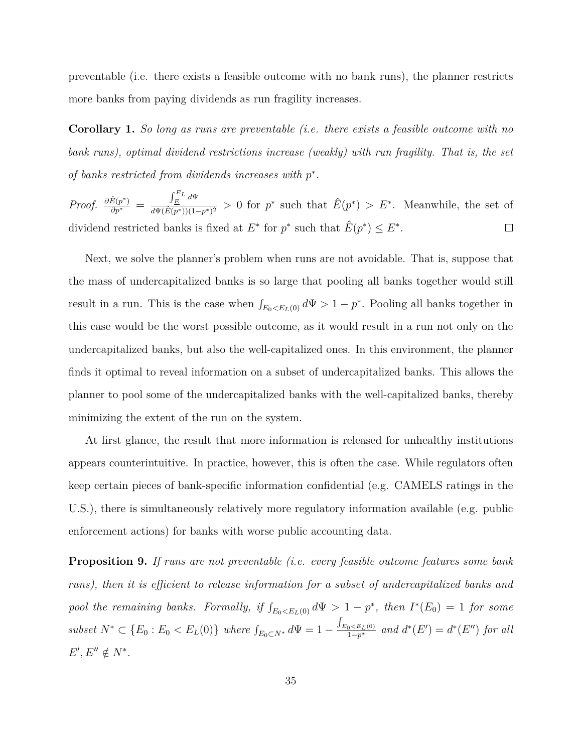preventable (i.e. there exists a feasible outcome with no bank runs), the planner restricts more banks from paying dividends as run fragility increases.

**Corollary 1.** *So long as runs are preventable (i.e. there exists a feasible outcome with no bank runs), optimal dividend restrictions increase (weakly) with run fragility. That is, the set of banks restricted from dividends increases with p* ∗ *.*

 $\int_E^{E_L} d\Psi$ *Proof.*  $\frac{\partial \hat{E}(p^*)}{\partial p^*} =$  $\frac{J_E}{d\Psi(\hat{E}(p^*)) (1-p^*)^2} > 0$  for  $p^*$  such that  $\hat{E}(p^*) > E^*$ . Meanwhile, the set of dividend restricted banks is fixed at  $E^*$  for  $p^*$  such that  $\hat{E}(p^*) \leq E^*$ .  $\Box$ 

Next, we solve the planner's problem when runs are not avoidable. That is, suppose that the mass of undercapitalized banks is so large that pooling all banks together would still result in a run. This is the case when  $\int_{E_0 \le E_L(0)} d\Psi > 1 - p^*$ . Pooling all banks together in this case would be the worst possible outcome, as it would result in a run not only on the undercapitalized banks, but also the well-capitalized ones. In this environment, the planner finds it optimal to reveal information on a subset of undercapitalized banks. This allows the planner to pool some of the undercapitalized banks with the well-capitalized banks, thereby minimizing the extent of the run on the system.

At first glance, the result that more information is released for unhealthy institutions appears counterintuitive. In practice, however, this is often the case. While regulators often keep certain pieces of bank-specific information confidential (e.g. CAMELS ratings in the U.S.), there is simultaneously relatively more regulatory information available (e.g. public enforcement actions) for banks with worse public accounting data.

**Proposition 9.** *If runs are not preventable (i.e. every feasible outcome features some bank runs), then it is efficient to release information for a subset of undercapitalized banks and pool the remaining banks. Formally, if*  $\int_{E_0 \leq E_L(0)} d\Psi > 1 - p^*$ , then  $I^*(E_0) = 1$  for some *subset*  $N^* \subset \{E_0 : E_0 < E_L(0)\}$  *where*  $\int_{E_0 \subset N^*} d\Psi = 1 \int_{E_{0} < E_{L}(0)}$  $\frac{a_0 \le E_L(0)}{1-p^*}$  *and*  $d^*(E') = d^*(E'')$  *for all*  $E', E'' \notin N^*$ .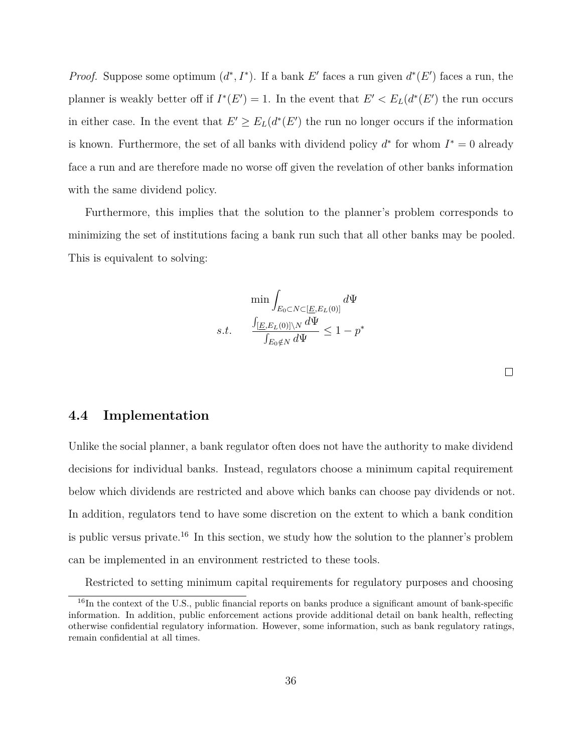*Proof.* Suppose some optimum  $(d^*, I^*)$ . If a bank *E*<sup>'</sup> faces a run given  $d^*(E')$  faces a run, the planner is weakly better off if  $I^*(E') = 1$ . In the event that  $E' < E_L(d^*(E'))$  the run occurs in either case. In the event that  $E' \ge E_L(d^*(E'))$  the run no longer occurs if the information is known. Furthermore, the set of all banks with dividend policy  $d^*$  for whom  $I^* = 0$  already face a run and are therefore made no worse off given the revelation of other banks information with the same dividend policy.

Furthermore, this implies that the solution to the planner's problem corresponds to minimizing the set of institutions facing a bank run such that all other banks may be pooled. This is equivalent to solving:

$$
\min \int_{E_0 \subset N \subset [\underline{E}, E_L(0)]} d\Psi
$$
  
s.t. 
$$
\frac{\int_{[\underline{E}, E_L(0)] \backslash N} d\Psi}{\int_{E_0 \notin N} d\Psi} \le 1 - p^*
$$

 $\Box$ 

### **4.4 Implementation**

Unlike the social planner, a bank regulator often does not have the authority to make dividend decisions for individual banks. Instead, regulators choose a minimum capital requirement below which dividends are restricted and above which banks can choose pay dividends or not. In addition, regulators tend to have some discretion on the extent to which a bank condition is public versus private.<sup>[16](#page-36-0)</sup> In this section, we study how the solution to the planner's problem can be implemented in an environment restricted to these tools.

<span id="page-36-0"></span>Restricted to setting minimum capital requirements for regulatory purposes and choosing

<sup>&</sup>lt;sup>16</sup>In the context of the U.S., public financial reports on banks produce a significant amount of bank-specific information. In addition, public enforcement actions provide additional detail on bank health, reflecting otherwise confidential regulatory information. However, some information, such as bank regulatory ratings, remain confidential at all times.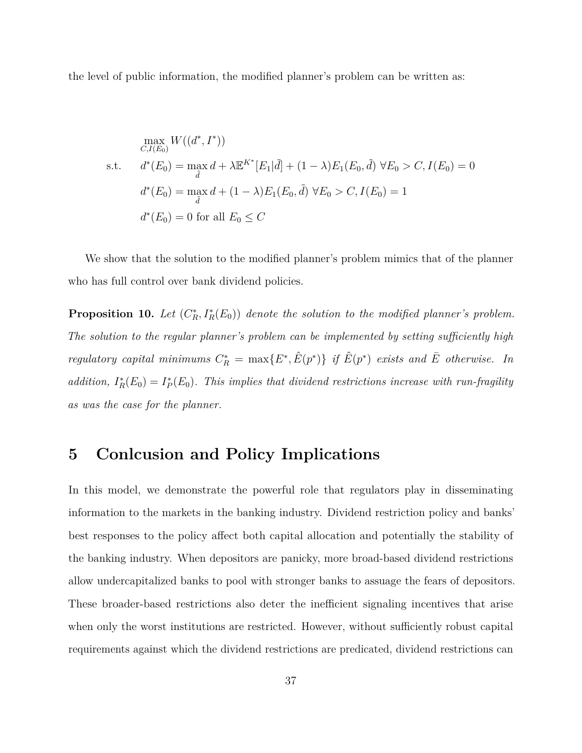the level of public information, the modified planner's problem can be written as:

$$
\max_{C, I(E_0)} W((d^*, I^*))
$$
  
s.t. 
$$
d^*(E_0) = \max_{\tilde{d}} d + \lambda \mathbb{E}^{K^*}[E_1|\tilde{d}] + (1 - \lambda)E_1(E_0, \tilde{d}) \ \forall E_0 > C, I(E_0) = 0
$$
  

$$
d^*(E_0) = \max_{\tilde{d}} d + (1 - \lambda)E_1(E_0, \tilde{d}) \ \forall E_0 > C, I(E_0) = 1
$$
  

$$
d^*(E_0) = 0 \text{ for all } E_0 \le C
$$

We show that the solution to the modified planner's problem mimics that of the planner who has full control over bank dividend policies.

<span id="page-37-1"></span>**Proposition 10.** Let  $(C_R^*, I_R^*(E_0))$  denote the solution to the modified planner's problem. *The solution to the regular planner's problem can be implemented by setting sufficiently high regulatory capital minimums*  $C_R^* = \max\{E^*, \hat{E}(p^*)\}$  *if*  $\hat{E}(p^*)$  *exists and*  $\bar{E}$  *otherwise. In addition,*  $I_R^*(E_0) = I_P^*(E_0)$ . This implies that dividend restrictions increase with run-fragility *as was the case for the planner.*

# <span id="page-37-0"></span>**5 Conlcusion and Policy Implications**

In this model, we demonstrate the powerful role that regulators play in disseminating information to the markets in the banking industry. Dividend restriction policy and banks' best responses to the policy affect both capital allocation and potentially the stability of the banking industry. When depositors are panicky, more broad-based dividend restrictions allow undercapitalized banks to pool with stronger banks to assuage the fears of depositors. These broader-based restrictions also deter the inefficient signaling incentives that arise when only the worst institutions are restricted. However, without sufficiently robust capital requirements against which the dividend restrictions are predicated, dividend restrictions can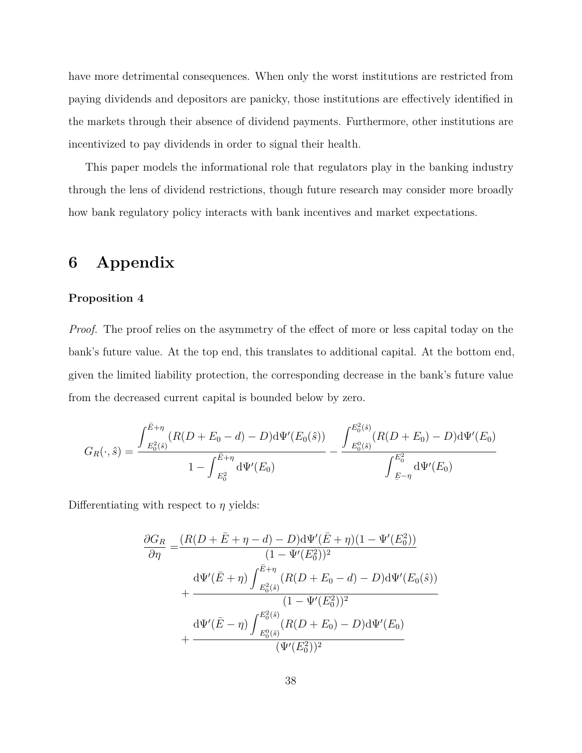have more detrimental consequences. When only the worst institutions are restricted from paying dividends and depositors are panicky, those institutions are effectively identified in the markets through their absence of dividend payments. Furthermore, other institutions are incentivized to pay dividends in order to signal their health.

This paper models the informational role that regulators play in the banking industry through the lens of dividend restrictions, though future research may consider more broadly how bank regulatory policy interacts with bank incentives and market expectations.

# **6 Appendix**

#### **Proposition [4](#page-24-0)**

*Proof.* The proof relies on the asymmetry of the effect of more or less capital today on the bank's future value. At the top end, this translates to additional capital. At the bottom end, given the limited liability protection, the corresponding decrease in the bank's future value from the decreased current capital is bounded below by zero.

$$
G_R(\cdot,\hat{s}) = \frac{\int_{E_0^2(\hat{s})}^{\bar{E}+\eta} (R(D+E_0-d)-D) d\Psi'(E_0(\hat{s}))}{1-\int_{E_0^2}^{\bar{E}+\eta} d\Psi'(E_0)} - \frac{\int_{E_0^0(\hat{s})}^{E_0^2(\hat{s})} (R(D+E_0)-D) d\Psi'(E_0)}{\int_{E-\eta}^{E_0^2} d\Psi'(E_0)}
$$

Differentiating with respect to *η* yields:

$$
\frac{\partial G_R}{\partial \eta} = \frac{(R(D + \bar{E} + \eta - d) - D) \mathrm{d}\Psi'(\bar{E} + \eta)(1 - \Psi'(E_0^2))}{(1 - \Psi'(E_0^2))^2} \n+ \frac{\mathrm{d}\Psi'(\bar{E} + \eta) \int_{E_0^2(\hat{s})}^{\bar{E} + \eta} (R(D + E_0 - d) - D) \mathrm{d}\Psi'(E_0(\hat{s}))}{(1 - \Psi'(E_0^2))^2} \n+ \frac{\mathrm{d}\Psi'(\bar{E} - \eta) \int_{E_0^0(\hat{s})}^{E_0^2(\hat{s})} (R(D + E_0) - D) \mathrm{d}\Psi'(E_0)}{(\Psi'(E_0^2))^2}
$$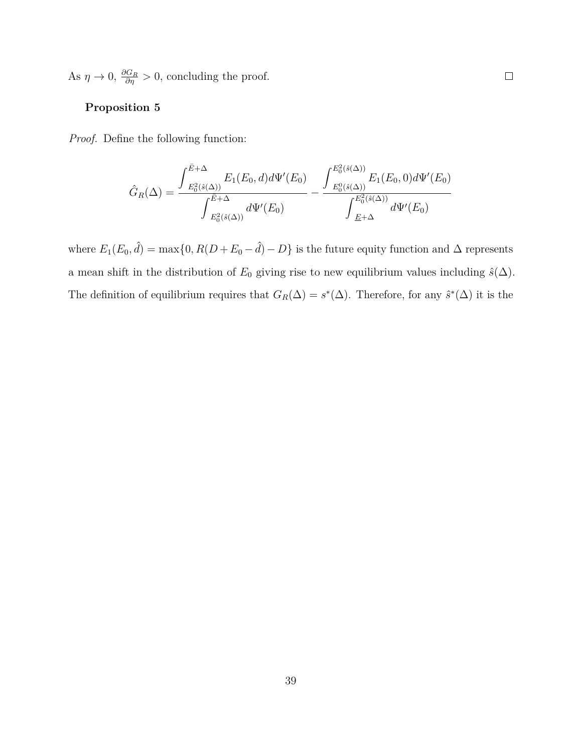As  $\eta \to 0$ ,  $\frac{\partial G_R}{\partial \eta} > 0$ , concluding the proof.

### **Proposition [5](#page-25-2)**

*Proof.* Define the following function:

$$
\hat{G}_R(\Delta) = \frac{\int_{E_0^2(\hat{s}(\Delta))}^{\bar{E}+\Delta} E_1(E_0, d) d\Psi'(E_0)}{\int_{E_0^2(\hat{s}(\Delta))}^{\bar{E}+\Delta} d\Psi'(E_0)} - \frac{\int_{E_0^0(\hat{s}(\Delta))}^{E_0^2(\hat{s}(\Delta))} E_1(E_0, 0) d\Psi'(E_0)}{\int_{E+\Delta}^{E_0^2(\hat{s}(\Delta))} d\Psi'(E_0)}
$$

where  $E_1(E_0, \hat{d}) = \max\{0, R(D + E_0 - \hat{d}) - D\}$  is the future equity function and  $\Delta$  represents a mean shift in the distribution of  $E_0$  giving rise to new equilibrium values including  $\hat{s}(\Delta)$ . The definition of equilibrium requires that  $G_R(\Delta) = s^*(\Delta)$ . Therefore, for any  $\hat{s}^*(\Delta)$  it is the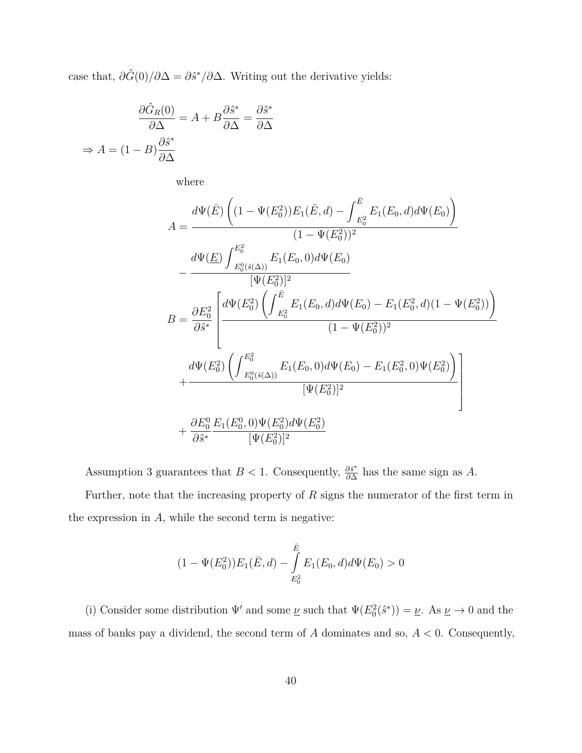case that,  $\partial \hat{G}(0)/\partial \Delta = \partial \hat{s}^*/\partial \Delta$ . Writing out the derivative yields:

$$
\frac{\partial \hat{G}_R(0)}{\partial \Delta} = A + B \frac{\partial \hat{s}^*}{\partial \Delta} = \frac{\partial \hat{s}^*}{\partial \Delta}
$$

$$
\Rightarrow A = (1 - B) \frac{\partial \hat{s}^*}{\partial \Delta}
$$

where

$$
A = \frac{d\Psi(\bar{E}) \left( (1 - \Psi(E_0^2)) E_1(\bar{E}, d) - \int_{E_0^2}^{\bar{E}} E_1(E_0, d) d\Psi(E_0) \right)}{(1 - \Psi(E_0^2))^2}
$$
  

$$
- \frac{d\Psi(E) \int_{E_0^0(\hat{s}(\Delta))}^{E_0^2} E_1(E_0, 0) d\Psi(E_0)}{[\Psi(E_0^2)]^2}
$$
  

$$
B = \frac{\partial E_0^2}{\partial \hat{s}^*} \left[ \frac{d\Psi(E_0^2) \left( \int_{E_0^2}^{\bar{E}} E_1(E_0, d) d\Psi(E_0) - E_1(E_0^2, d)(1 - \Psi(E_0^2)) \right)}{(1 - \Psi(E_0^2))^2} \right. \\ \left. + \frac{d\Psi(E_0^2) \left( \int_{E_0^0(\hat{s}(\Delta))}^{E_0^2} E_1(E_0, 0) d\Psi(E_0) - E_1(E_0^2, 0) \Psi(E_0^2) \right)}{[\Psi(E_0^2)]^2} \right]
$$
  

$$
+ \frac{\partial E_0^0}{\partial \hat{s}^*} \frac{E_1(E_0^0, 0) \Psi(E_0^2) d\Psi(E_0^2)}{[\Psi(E_0^2)]^2}
$$

Assumption [3](#page-25-0) guarantees that *B* < 1. Consequently,  $\frac{\partial \hat{s}^*}{\partial \Delta}$  $\frac{\partial \hat{s}^*}{\partial \Delta}$  has the same sign as *A*.

Further, note that the increasing property of *R* signs the numerator of the first term in the expression in *A*, while the second term is negative:

$$
(1 - \Psi(E_0^2))E_1(\bar{E}, d) - \int_{E_0^2}^{\bar{E}} E_1(E_0, d)d\Psi(E_0) > 0
$$

(i) Consider some distribution  $\Psi'$  and some *ν* such that  $\Psi(E_0^2(\hat{s}^*)) = \nu$ . As  $\nu \to 0$  and the mass of banks pay a dividend, the second term of *A* dominates and so, *A <* 0. Consequently,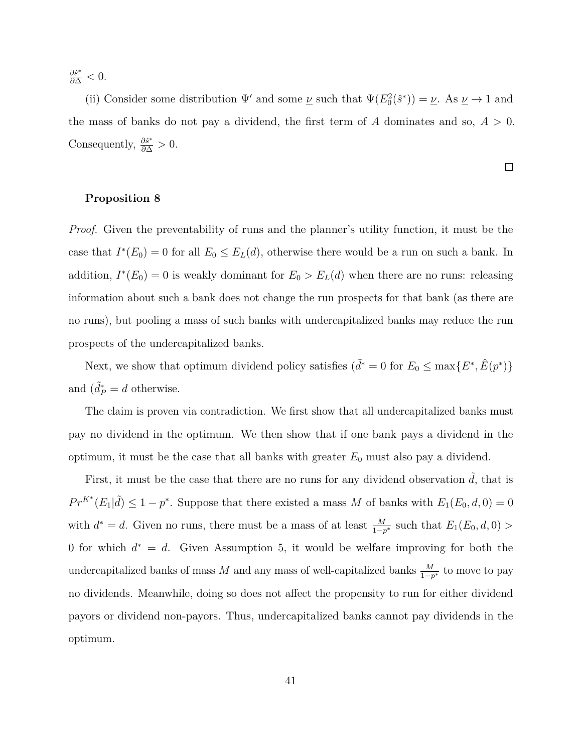*∂s*ˆ ∗ *<sup>∂</sup>*<sup>∆</sup> *<* 0.

(ii) Consider some distribution  $\Psi'$  and some *ν* such that  $\Psi(E_0^2(\hat{s}^*)) = \nu$ . As  $\nu \to 1$  and the mass of banks do not pay a dividend, the first term of *A* dominates and so, *A >* 0. Consequently,  $\frac{\partial \hat{s}^*}{\partial \Delta} > 0$ .

 $\Box$ 

#### **Proposition [8](#page-34-0)**

*Proof.* Given the preventability of runs and the planner's utility function, it must be the case that  $I^*(E_0) = 0$  for all  $E_0 \le E_L(d)$ , otherwise there would be a run on such a bank. In addition,  $I^*(E_0) = 0$  is weakly dominant for  $E_0 > E_L(d)$  when there are no runs: releasing information about such a bank does not change the run prospects for that bank (as there are no runs), but pooling a mass of such banks with undercapitalized banks may reduce the run prospects of the undercapitalized banks.

Next, we show that optimum dividend policy satisfies  $(\tilde{d}^* = 0 \text{ for } E_0 \le \max\{E^*, \hat{E}(p^*)\}$ and  $(\tilde{d}_P^* = d \text{ otherwise.})$ 

The claim is proven via contradiction. We first show that all undercapitalized banks must pay no dividend in the optimum. We then show that if one bank pays a dividend in the optimum, it must be the case that all banks with greater  $E_0$  must also pay a dividend.

First, it must be the case that there are no runs for any dividend observation  $d$ , that is  $Pr^{K^*}(E_1|\tilde{d}) \leq 1 - p^*$ . Suppose that there existed a mass *M* of banks with  $E_1(E_0, d, 0) = 0$ with  $d^* = d$ . Given no runs, there must be a mass of at least  $\frac{M}{1-p^*}$  such that  $E_1(E_0, d, 0)$  > 0 for which  $d^* = d$ . Given Assumption [5,](#page-33-1) it would be welfare improving for both the undercapitalized banks of mass *M* and any mass of well-capitalized banks  $\frac{M}{1-p^*}$  to move to pay no dividends. Meanwhile, doing so does not affect the propensity to run for either dividend payors or dividend non-payors. Thus, undercapitalized banks cannot pay dividends in the optimum.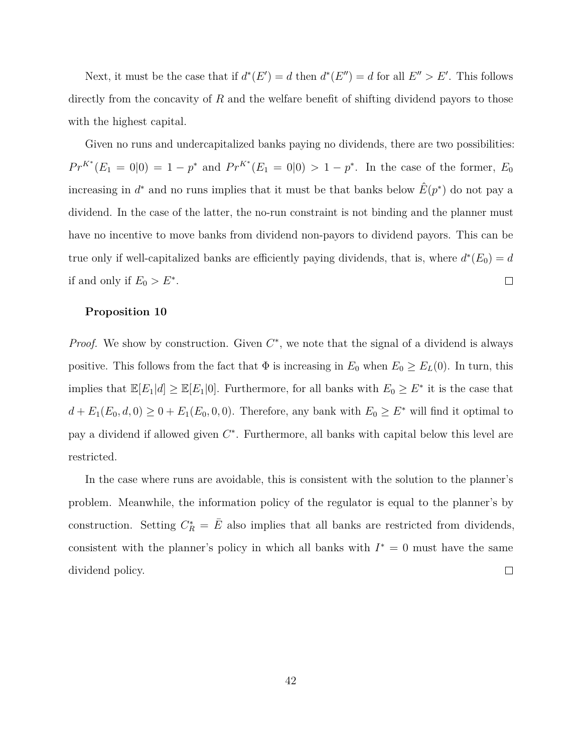Next, it must be the case that if  $d^*(E') = d$  then  $d^*(E'') = d$  for all  $E'' > E'$ . This follows directly from the concavity of R and the welfare benefit of shifting dividend payors to those with the highest capital.

Given no runs and undercapitalized banks paying no dividends, there are two possibilities:  $Pr^{K^*}(E_1 = 0|0) = 1 - p^*$  and  $Pr^{K^*}(E_1 = 0|0) > 1 - p^*$ . In the case of the former,  $E_0$ increasing in  $d^*$  and no runs implies that it must be that banks below  $\hat{E}(p^*)$  do not pay a dividend. In the case of the latter, the no-run constraint is not binding and the planner must have no incentive to move banks from dividend non-payors to dividend payors. This can be true only if well-capitalized banks are efficiently paying dividends, that is, where  $d^*(E_0) = d$ if and only if  $E_0 > E^*$ .  $\Box$ 

#### **Proposition [10](#page-37-1)**

*Proof.* We show by construction. Given  $C^*$ , we note that the signal of a dividend is always positive. This follows from the fact that  $\Phi$  is increasing in  $E_0$  when  $E_0 \geq E_L(0)$ . In turn, this implies that  $\mathbb{E}[E_1|d] \geq \mathbb{E}[E_1|0]$ . Furthermore, for all banks with  $E_0 \geq E^*$  it is the case that  $d + E_1(E_0, d, 0) \geq 0 + E_1(E_0, 0, 0)$ . Therefore, any bank with  $E_0 \geq E^*$  will find it optimal to pay a dividend if allowed given  $C^*$ . Furthermore, all banks with capital below this level are restricted.

In the case where runs are avoidable, this is consistent with the solution to the planner's problem. Meanwhile, the information policy of the regulator is equal to the planner's by construction. Setting  $C_R^* = \bar{E}$  also implies that all banks are restricted from dividends, consistent with the planner's policy in which all banks with  $I^* = 0$  must have the same dividend policy.  $\Box$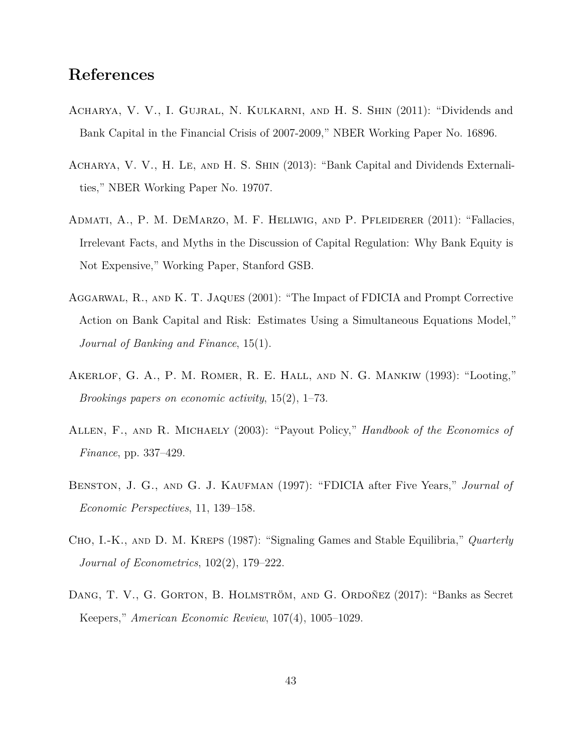# **References**

- <span id="page-43-0"></span>Acharya, V. V., I. Gujral, N. Kulkarni, and H. S. Shin (2011): "Dividends and Bank Capital in the Financial Crisis of 2007-2009," NBER Working Paper No. 16896.
- <span id="page-43-3"></span>Acharya, V. V., H. Le, and H. S. Shin (2013): "Bank Capital and Dividends Externalities," NBER Working Paper No. 19707.
- <span id="page-43-6"></span>Admati, A., P. M. DeMarzo, M. F. Hellwig, and P. Pfleiderer (2011): "Fallacies, Irrelevant Facts, and Myths in the Discussion of Capital Regulation: Why Bank Equity is Not Expensive," Working Paper, Stanford GSB.
- <span id="page-43-5"></span>Aggarwal, R., and K. T. Jaques (2001): "The Impact of FDICIA and Prompt Corrective Action on Bank Capital and Risk: Estimates Using a Simultaneous Equations Model," *Journal of Banking and Finance*, 15(1).
- <span id="page-43-1"></span>Akerlof, G. A., P. M. Romer, R. E. Hall, and N. G. Mankiw (1993): "Looting," *Brookings papers on economic activity*, 15(2), 1–73.
- <span id="page-43-7"></span>Allen, F., and R. Michaely (2003): "Payout Policy," *Handbook of the Economics of Finance*, pp. 337–429.
- <span id="page-43-4"></span>Benston, J. G., and G. J. Kaufman (1997): "FDICIA after Five Years," *Journal of Economic Perspectives*, 11, 139–158.
- <span id="page-43-8"></span>Cho, I.-K., and D. M. Kreps (1987): "Signaling Games and Stable Equilibria," *Quarterly Journal of Econometrics*, 102(2), 179–222.
- <span id="page-43-2"></span>DANG, T. V., G. GORTON, B. HOLMSTRÖM, AND G. ORDOÑEZ (2017): "Banks as Secret Keepers," *American Economic Review*, 107(4), 1005–1029.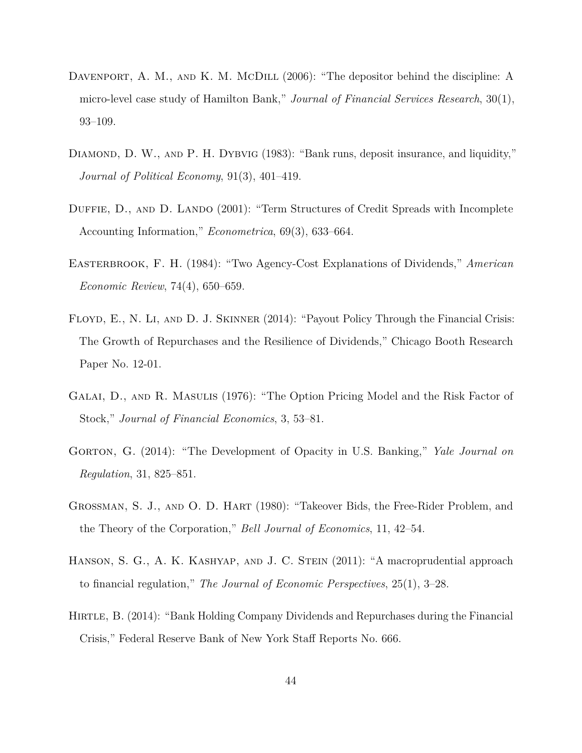- <span id="page-44-8"></span>DAVENPORT, A. M., AND K. M. MCDILL (2006): "The depositor behind the discipline: A micro-level case study of Hamilton Bank," *Journal of Financial Services Research*, 30(1), 93–109.
- <span id="page-44-9"></span>DIAMOND, D. W., AND P. H. DYBVIG (1983): "Bank runs, deposit insurance, and liquidity," *Journal of Political Economy*, 91(3), 401–419.
- <span id="page-44-7"></span>DUFFIE, D., AND D. LANDO (2001): "Term Structures of Credit Spreads with Incomplete Accounting Information," *Econometrica*, 69(3), 633–664.
- <span id="page-44-6"></span>Easterbrook, F. H. (1984): "Two Agency-Cost Explanations of Dividends," *American Economic Review*, 74(4), 650–659.
- <span id="page-44-3"></span>FLOYD, E., N. LI, AND D. J. SKINNER (2014): "Payout Policy Through the Financial Crisis: The Growth of Repurchases and the Resilience of Dividends," Chicago Booth Research Paper No. 12-01.
- <span id="page-44-4"></span>GALAI, D., AND R. MASULIS (1976): "The Option Pricing Model and the Risk Factor of Stock," *Journal of Financial Economics*, 3, 53–81.
- <span id="page-44-1"></span>Gorton, G. (2014): "The Development of Opacity in U.S. Banking," *Yale Journal on Regulation*, 31, 825–851.
- <span id="page-44-5"></span>Grossman, S. J., and O. D. Hart (1980): "Takeover Bids, the Free-Rider Problem, and the Theory of the Corporation," *Bell Journal of Economics*, 11, 42–54.
- <span id="page-44-0"></span>HANSON, S. G., A. K. KASHYAP, AND J. C. STEIN (2011): "A macroprudential approach to financial regulation," *The Journal of Economic Perspectives*, 25(1), 3–28.
- <span id="page-44-2"></span>Hirtle, B. (2014): "Bank Holding Company Dividends and Repurchases during the Financial Crisis," Federal Reserve Bank of New York Staff Reports No. 666.